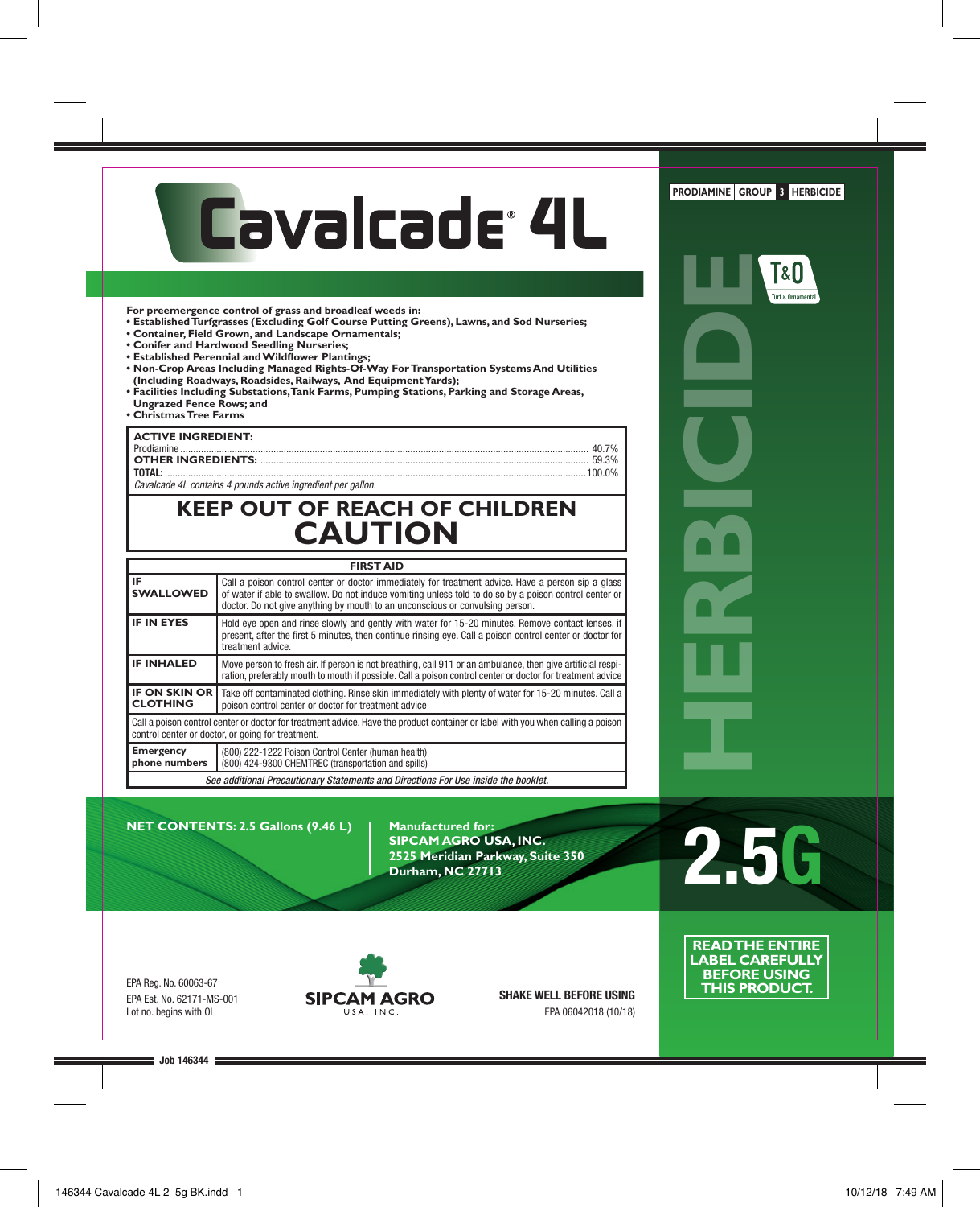# Cavalcade<sup>®</sup> 4L

**For preemergence control of grass and broadleaf weeds in:** 

- **Established Turfgrasses (Excluding Golf Course Putting Greens), Lawns, and Sod Nurseries;**
- **Container, Field Grown, and Landscape Ornamentals;**
- **Conifer and Hardwood Seedling Nurseries;**
- **Established Perennial and Wildflower Plantings;**
- **Non-Crop Areas Including Managed Rights-Of-Way For Transportation Systems And Utilities (Including Roadways, Roadsides, Railways, And Equipment Yards);**
- **Facilities Including Substations, Tank Farms, Pumping Stations, Parking and Storage Areas, Ungrazed Fence Rows; and**
- **Christmas Tree Farms**

# **ACTIVE INGREDIENT:**

| ___________________ |  |
|---------------------|--|
|                     |  |
|                     |  |
|                     |  |
|                     |  |

*Cavalcade 4L contains 4 pounds active ingredient per gallon.*

# **KEEP OUT OF REACH OF CHILDREN CAUTION**

|                                                                                                                                                                                                                                                                                                                          | <b>FIRST AID</b>                                                                                                                                                                                                          |  |  |  |  |  |
|--------------------------------------------------------------------------------------------------------------------------------------------------------------------------------------------------------------------------------------------------------------------------------------------------------------------------|---------------------------------------------------------------------------------------------------------------------------------------------------------------------------------------------------------------------------|--|--|--|--|--|
| IE.<br>Call a poison control center or doctor immediately for treatment advice. Have a person sip a glass<br><b>SWALLOWED</b><br>of water if able to swallow. Do not induce vomiting unless told to do so by a poison control center or<br>doctor. Do not give anything by mouth to an unconscious or convulsing person. |                                                                                                                                                                                                                           |  |  |  |  |  |
| <b>IF IN EYES</b><br>Hold eye open and rinse slowly and gently with water for 15-20 minutes. Remove contact lenses, if<br>present, after the first 5 minutes, then continue rinsing eye. Call a poison control center or doctor for<br>treatment advice.                                                                 |                                                                                                                                                                                                                           |  |  |  |  |  |
| <b>IF INHALED</b>                                                                                                                                                                                                                                                                                                        | Move person to fresh air. If person is not breathing, call 911 or an ambulance, then give artificial respi-<br>ration, preferably mouth to mouth if possible. Call a poison control center or doctor for treatment advice |  |  |  |  |  |
| <b>IF ON SKIN OR</b><br>Take off contaminated clothing. Rinse skin immediately with plenty of water for 15-20 minutes. Call a<br><b>CLOTHING</b><br>poison control center or doctor for treatment advice                                                                                                                 |                                                                                                                                                                                                                           |  |  |  |  |  |
| Call a poison control center or doctor for treatment advice. Have the product container or label with you when calling a poison<br>control center or doctor, or going for treatment.                                                                                                                                     |                                                                                                                                                                                                                           |  |  |  |  |  |
| <b>Emergency</b><br>phone numbers                                                                                                                                                                                                                                                                                        | (800) 222-1222 Poison Control Center (human health)<br>(800) 424-9300 CHEMTREC (transportation and spills)                                                                                                                |  |  |  |  |  |
| See additional Precautionary Statements and Directions For Use inside the booklet.                                                                                                                                                                                                                                       |                                                                                                                                                                                                                           |  |  |  |  |  |

**NET CONTENTS: 2.5 Gallons (9.46 L) | Manufactured for:** 

**SIPCAM AGRO USA, INC. 2525 Meridian Parkway, Suite 350 Durham, NC 27713**

**2.5G**

EPA Reg. No. 60063-67 EPA Est. No. 62171-MS-001 Lot no. begins with OI



**SHAKE WELL BEFORE USING** EPA 06042018 (10/18)

**READ THE ENTIRE LABEL CAREFULLY BEFORE USING THIS PRODUCT.**

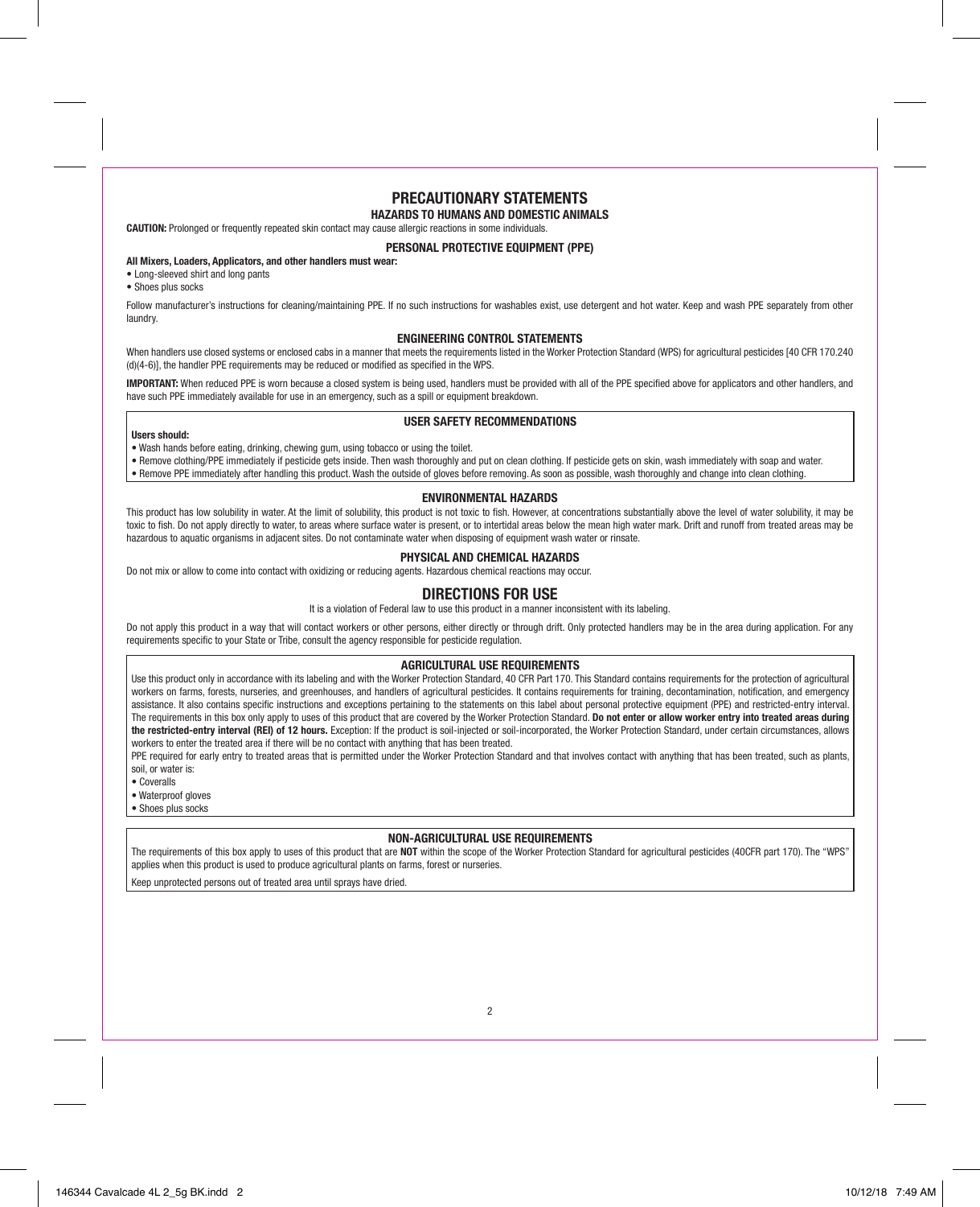# **PRECAUTIONARY STATEMENTS**

# **HAZARDS TO HUMANS AND DOMESTIC ANIMALS**

**CAUTION:** Prolonged or frequently repeated skin contact may cause allergic reactions in some individuals.

# **PERSONAL PROTECTIVE EQUIPMENT (PPE)**

# **All Mixers, Loaders, Applicators, and other handlers must wear:**

- Long-sleeved shirt and long pants
- Shoes plus socks

Follow manufacturer's instructions for cleaning/maintaining PPE. If no such instructions for washables exist, use detergent and hot water. Keep and wash PPE separately from other laundry.

# **ENGINEERING CONTROL STATEMENTS**

When handlers use closed systems or enclosed cabs in a manner that meets the requirements listed in the Worker Protection Standard (WPS) for agricultural pesticides [40 CFR 170.240] (d)(4-6)], the handler PPE requirements may be reduced or modified as specified in the WPS.

**IMPORTANT:** When reduced PPF is worn because a closed system is being used, handlers must be provided with all of the PPF specified above for applicators and other handlers, and have such PPE immediately available for use in an emergency, such as a spill or equipment breakdown.

# **USER SAFETY RECOMMENDATIONS**

#### **Users should:**

- Wash hands before eating, drinking, chewing gum, using tobacco or using the toilet.
- Remove clothing/PPE immediately if pesticide gets inside. Then wash thoroughly and put on clean clothing. If pesticide gets on skin, wash immediately with soap and water.
- Remove PPF immediately after handling this product. Wash the outside of gloves before removing. As soon as possible, wash thoroughly and change into clean clothing.

## **ENVIRONMENTAL HAZARDS**

This product has low solubility in water. At the limit of solubility, this product is not toxic to fish. However, at concentrations substantially above the level of water solubility, it may be toxic to fish. Do not apply directly to water, to areas where surface water is present, or to intertidal areas below the mean high water mark. Drift and runoff from treated areas may be hazardous to aquatic organisms in adjacent sites. Do not contaminate water when disposing of equipment wash water or rinsate.

# **PHYSICAL AND CHEMICAL HAZARDS**

Do not mix or allow to come into contact with oxidizing or reducing agents. Hazardous chemical reactions may occur.

# **DIRECTIONS FOR USE**

It is a violation of Federal law to use this product in a manner inconsistent with its labeling.

Do not apply this product in a way that will contact workers or other persons, either directly or through drift. Only protected handlers may be in the area during application. For any requirements specific to your State or Tribe, consult the agency responsible for pesticide regulation.

# **AGRICULTURAL USE REQUIREMENTS**

Use this product only in accordance with its labeling and with the Worker Protection Standard, 40 CFR Part 170. This Standard contains requirements for the protection of agricultural workers on farms, forests, nurseries, and greenhouses, and handlers of agricultural pesticides. It contains requirements for training, decontamination, notification, and emergency assistance. It also contains specific instructions and exceptions pertaining to the statements on this label about personal protective equipment (PPE) and restricted-entry interval. The requirements in this box only apply to uses of this product that are covered by the Worker Protection Standard. **Do not enter or allow worker entry into treated areas during the restricted-entry interval (REI) of 12 hours.** Exception: If the product is soil-injected or soil-incorporated, the Worker Protection Standard, under certain circumstances, allows workers to enter the treated area if there will be no contact with anything that has been treated.

PPE required for early entry to treated areas that is permitted under the Worker Protection Standard and that involves contact with anything that has been treated, such as plants soil, or water is:

- Coveralls
- Waterproof gloves
- Shoes plus socks

# **NON-AGRICULTURAL USE REQUIREMENTS**

The requirements of this box apply to uses of this product that are **NOT** within the scope of the Worker Protection Standard for agricultural pesticides (40CFR part 170). The "WPS" applies when this product is used to produce agricultural plants on farms, forest or nurseries.

Keep unprotected persons out of treated area until sprays have dried.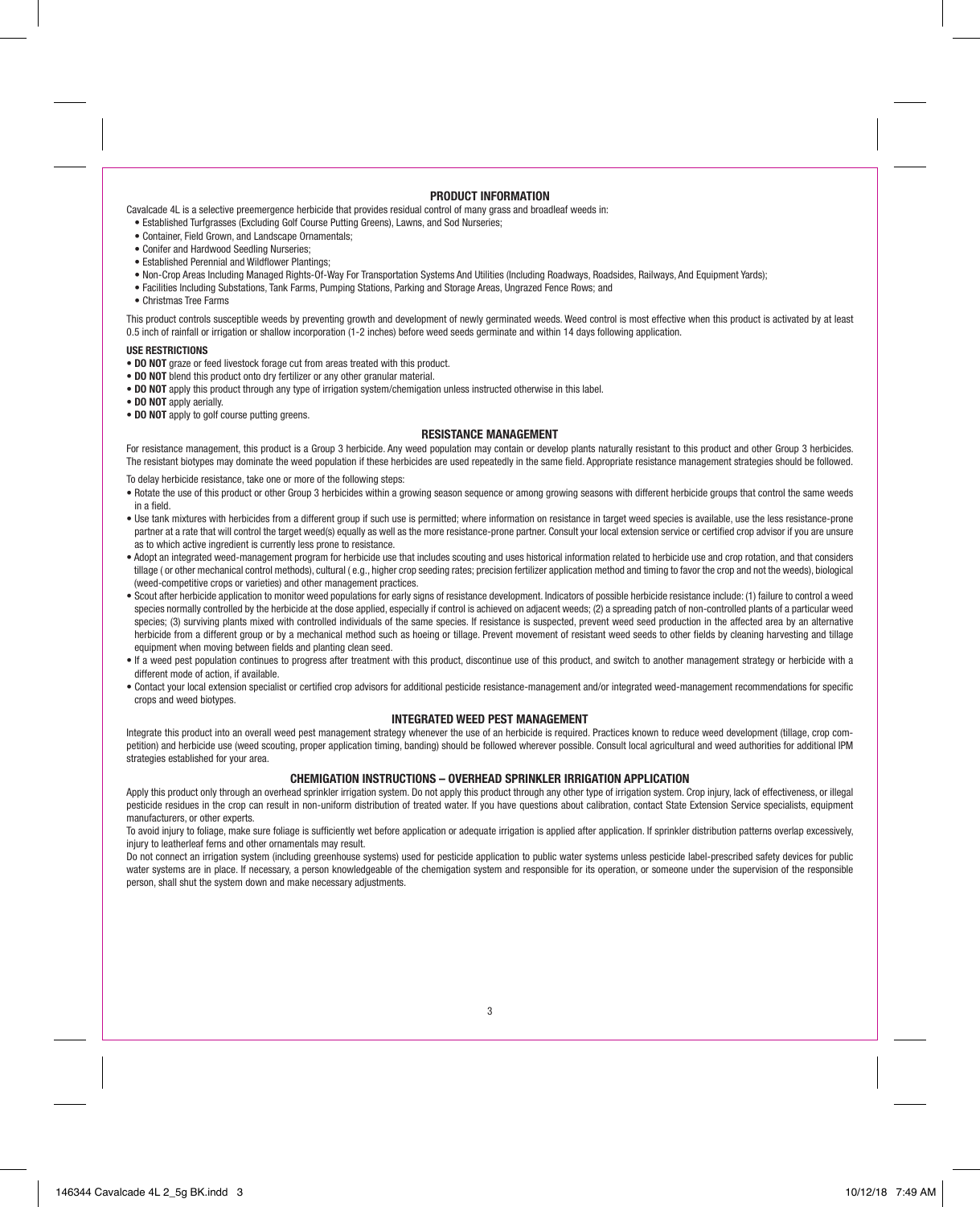#### **PRODUCT INFORMATION**

Cavalcade 4L is a selective preemergence herbicide that provides residual control of many grass and broadleaf weeds in:

- Established Turfgrasses (Excluding Golf Course Putting Greens), Lawns, and Sod Nurseries;
- Container, Field Grown, and Landscape Ornamentals;
- Conifer and Hardwood Seedling Nurseries;
- Established Perennial and Wildflower Plantings;
- Non-Crop Areas Including Managed Rights-Of-Way For Transportation Systems And Utilities (Including Roadways, Roadsides, Railways, And Equipment Yards);
- Facilities Including Substations, Tank Farms, Pumping Stations, Parking and Storage Areas, Ungrazed Fence Rows; and
- Christmas Tree Farms

This product controls susceptible weeds by preventing growth and development of newly germinated weeds. Weed control is most effective when this product is activated by at least 0.5 inch of rainfall or irrigation or shallow incorporation (1-2 inches) before weed seeds germinate and within 14 days following application.

#### **USE RESTRICTIONS**

- **DO NOT** graze or feed livestock forage cut from areas treated with this product.
- **DO NOT** blend this product onto dry fertilizer or any other granular material.
- **DO NOT** apply this product through any type of irrigation system/chemigation unless instructed otherwise in this label.
- **DO NOT** apply aerially.
- **DO NOT** apply to golf course putting greens.

# **RESISTANCE MANAGEMENT**

For resistance management, this product is a Group 3 herbicide. Any weed population may contain or develop plants naturally resistant to this product and other Group 3 herbicides. The resistant biotypes may dominate the weed population if these herbicides are used repeatedly in the same field. Appropriate resistance management strategies should be followed.

To delay herbicide resistance, take one or more of the following steps:

- Rotate the use of this product or other Group 3 herbicides within a growing season sequence or among growing seasons with different herbicide groups that control the same weeds in a field.
- Use tank mixtures with herbicides from a different group if such use is permitted; where information on resistance in target weed species is available, use the less resistance-prone partner at a rate that will control the target weed(s) equally as well as the more resistance-prone partner. Consult your local extension service or certified crop advisor if you are unsure as to which active ingredient is currently less prone to resistance.
- Adopt an integrated weed-management program for herbicide use that includes scouting and uses historical information related to herbicide use and crop rotation, and that considers tillage ( or other mechanical control methods), cultural ( e.g., higher crop seeding rates; precision fertilizer application method and timing to favor the crop and not the weeds), biological (weed-competitive crops or varieties) and other management practices.
- Scout after herbicide application to monitor weed populations for early signs of resistance development. Indicators of possible herbicide resistance include: (1) failure to control a weed species normally controlled by the herbicide at the dose applied, especially if control is achieved on adiacent weeds; (2) a spreading patch of non-controlled plants of a particular weed species; (3) surviving plants mixed with controlled individuals of the same species. If resistance is suspected, prevent weed seed production in the affected area by an alternative herbicide from a different group or by a mechanical method such as hoeing or tillage. Prevent movement of resistant weed seeds to other fields by cleaning harvesting and tillage equipment when moving between fields and planting clean seed.
- If a weed pest population continues to progress after treatment with this product, discontinue use of this product, and switch to another management strategy or herbicide with a different mode of action, if available.
- Contact your local extension specialist or certified crop advisors for additional pesticide resistance-management and/or integrated weed-management recommendations for specific crops and weed biotypes.

# **INTEGRATED WEED PEST MANAGEMENT**

Integrate this product into an overall weed pest management strategy whenever the use of an herbicide is required. Practices known to reduce weed development (tillage, crop competition) and herbicide use (weed scouting, proper application timing, banding) should be followed wherever possible. Consult local agricultural and weed authorities for additional IPM strategies established for your area.

# **CHEMIGATION INSTRUCTIONS – OVERHEAD SPRINKLER IRRIGATION APPLICATION**

Apply this product only through an overhead sprinkler irrigation system. Do not apply this product through any other type of irrigation system. Crop injury, lack of effectiveness, or illegal pesticide residues in the crop can result in non-uniform distribution of treated water. If you have questions about calibration, contact State Extension Service specialists, equipment manufacturers, or other experts.

To avoid injury to foliage, make sure foliage is sufficiently wet before application or adequate irrigation is applied after application. If sprinkler distribution patterns overlap excessively, injury to leatherleaf ferns and other ornamentals may result.

Do not connect an irrigation system (including greenhouse systems) used for pesticide application to public water systems unless pesticide label-prescribed safety devices for public water systems are in place. If necessary, a person knowledgeable of the chemigation system and responsible for its operation, or someone under the supervision of the responsible person, shall shut the system down and make necessary adjustments.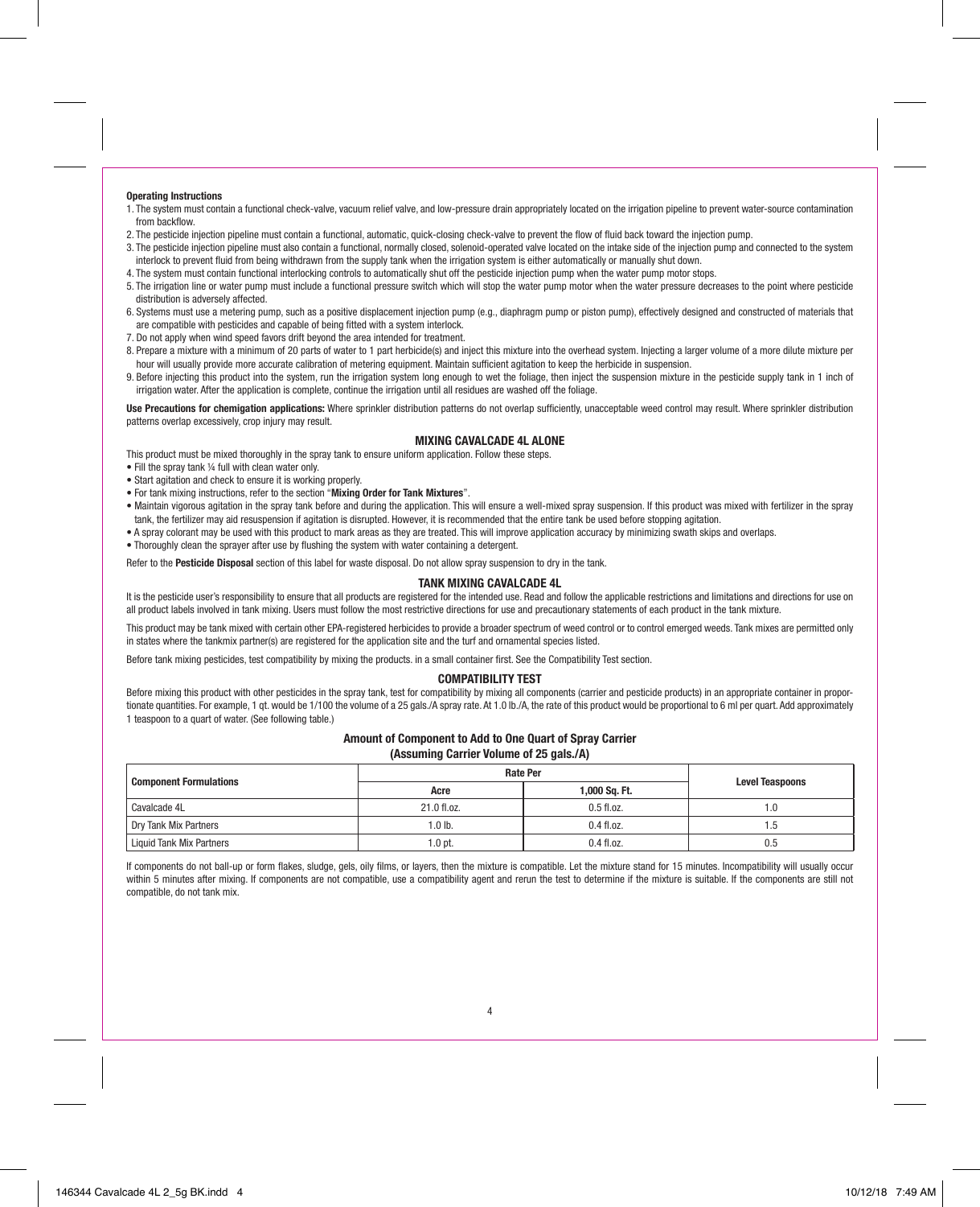## **Operating Instructions**

- 1. The system must contain a functional check-valve, vacuum relief valve, and low-pressure drain appropriately located on the irrigation pipeline to prevent water-source contamination from backflow.
- 2. The pesticide injection pipeline must contain a functional, automatic, quick-closing check-valve to prevent the flow of fluid back toward the injection pump.
- 3. The pesticide injection pipeline must also contain a functional, normally closed, solenoid-operated valve located on the intake side of the injection pump and connected to the system interlock to prevent fluid from being withdrawn from the supply tank when the irrigation system is either automatically or manually shut down.
- 4. The system must contain functional interlocking controls to automatically shut off the pesticide injection pump when the water pump motor stops.
- 5. The irrigation line or water pump must include a functional pressure switch which will stop the water pump motor when the water pressure decreases to the point where pesticide distribution is adversely affected.
- 6. Systems must use a metering pump, such as a positive displacement injection pump (e.g., diaphragm pump or piston pump), effectively designed and constructed of materials that are compatible with pesticides and capable of being fitted with a system interlock.
- 7. Do not apply when wind speed favors drift beyond the area intended for treatment.
- 8. Prepare a mixture with a minimum of 20 parts of water to 1 part herbicide(s) and inject this mixture into the overhead system, Injecting a larger volume of a more dilute mixture per hour will usually provide more accurate calibration of metering equipment. Maintain sufficient agitation to keep the herbicide in suspension.
- 9. Before injecting this product into the system, run the irrigation system long enough to wet the foliage, then inject the suspension mixture in the pesticide supply tank in 1 inch of irrigation water. After the application is complete, continue the irrigation until all residues are washed off the foliage.

**Use Precautions for chemigation applications:** Where sprinkler distribution patterns do not overlap sufficiently, unacceptable weed control may result. Where sprinkler distribution patterns overlap excessively, crop injury may result.

# **MIXING CAVALCADE 4L ALONE**

This product must be mixed thoroughly in the spray tank to ensure uniform application. Follow these steps.

- Fill the spray tank ¼ full with clean water only.
- Start agitation and check to ensure it is working properly.
- For tank mixing instructions, refer to the section "**Mixing Order for Tank Mixtures**".
- Maintain vigorous agitation in the spray tank before and during the application. This will ensure a well-mixed spray suspension. If this product was mixed with fertilizer in the spray tank, the fertilizer may aid resuspension if agitation is disrupted. However, it is recommended that the entire tank be used before stopping agitation.
- A spray colorant may be used with this product to mark areas as they are treated. This will improve application accuracy by minimizing swath skips and overlaps.
- Thoroughly clean the sprayer after use by flushing the system with water containing a detergent.

Refer to the **Pesticide Disposal** section of this label for waste disposal. Do not allow spray suspension to dry in the tank.

## **TANK MIXING CAVALCADE 4L**

It is the pesticide user's responsibility to ensure that all products are registered for the intended use. Read and follow the applicable restrictions and limitations and directions for use on all product labels involved in tank mixing. Users must follow the most restrictive directions for use and precautionary statements of each product in the tank mixture.

This product may be tank mixed with certain other EPA-registered herbicides to provide a broader spectrum of weed control or to control emerged weeds. Tank mixes are permitted only in states where the tankmix partner(s) are registered for the application site and the turf and ornamental species listed.

Before tank mixing pesticides, test compatibility by mixing the products. in a small container first. See the Compatibility Test section.

# **COMPATIBILITY TEST**

Before mixing this product with other pesticides in the spray tank, test for compatibility by mixing all components (carrier and pesticide products) in an appropriate container in proportionate quantities. For example, 1 qt. would be 1/100 the volume of a 25 gals./A spray rate. At 1.0 lb./A, the rate of this product would be proportional to 6 ml per quart. Add approximately 1 teaspoon to a quart of water. (See following table.)

#### **Amount of Component to Add to One Quart of Spray Carrier**

**(Assuming Carrier Volume of 25 gals./A)**

|                                 | <b>Rate Per</b>   | <b>Level Teaspoons</b> |     |
|---------------------------------|-------------------|------------------------|-----|
| <b>Component Formulations</b>   | Acre              | 1,000 Sq. Ft.          |     |
| Cavalcade 4L                    | 21.0 fl.oz.       | $0.5$ fl.oz.           | 1.0 |
| Dry Tank Mix Partners           | 1.0 <sub>lb</sub> | $0.4$ fl.oz.           | l.5 |
| <b>Liquid Tank Mix Partners</b> | $1.0$ pt.         | $0.4$ fl.oz.           | 0.5 |

If components do not ball-up or form flakes, sludge, gels, oily films, or layers, then the mixture is compatible. Let the mixture stand for 15 minutes. Incompatibility will usually occur within 5 minutes after mixing. If components are not compatible, use a compatibility agent and rerun the test to determine if the mixture is suitable. If the components are still not compatible, do not tank mix.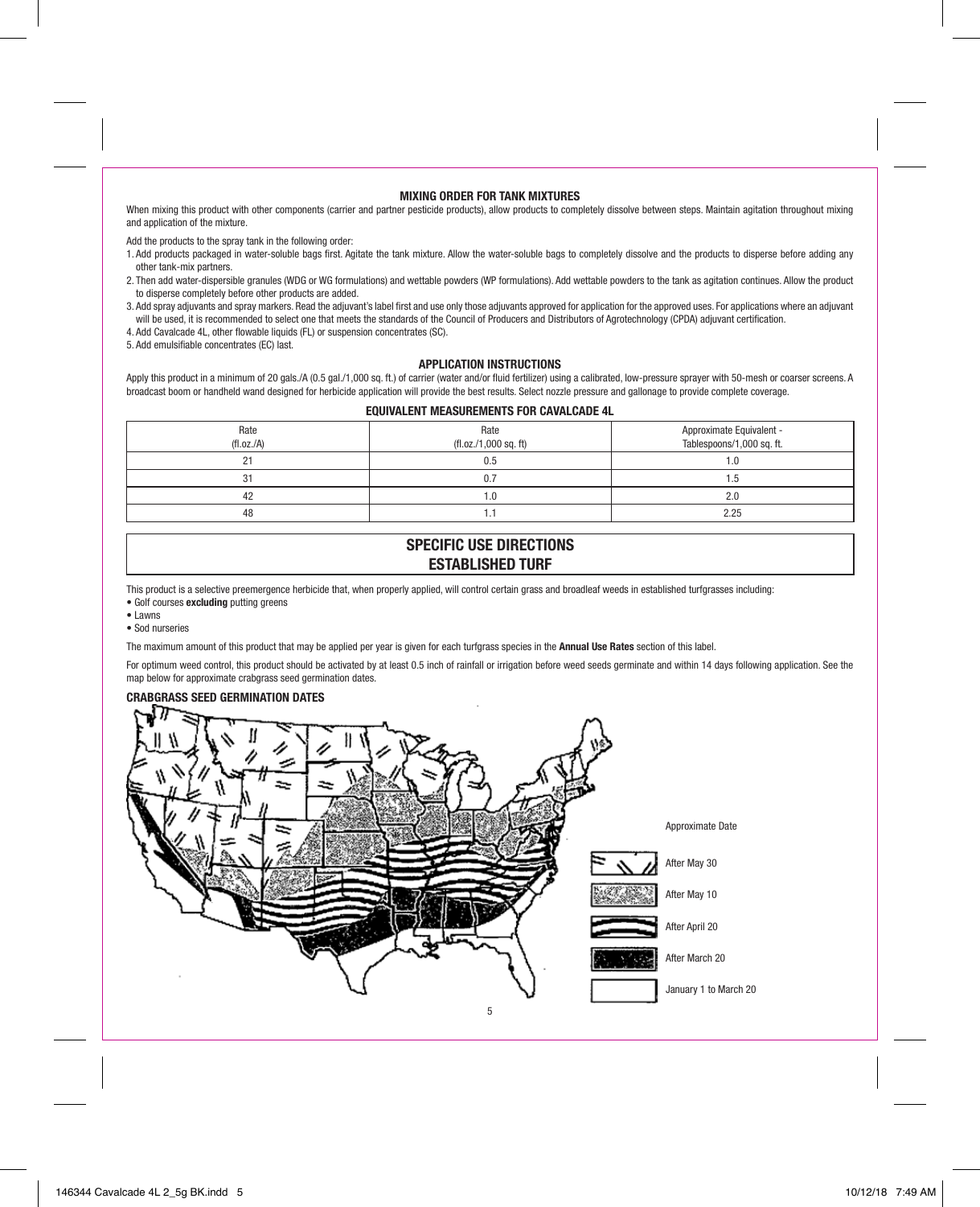# **MIXING ORDER FOR TANK MIXTURES**

When mixing this product with other components (carrier and partner pesticide products), allow products to completely dissolve between steps. Maintain agitation throughout mixing and application of the mixture.

Add the products to the spray tank in the following order:

- 1. Add products packaged in water-soluble bags first. Agitate the tank mixture. Allow the water-soluble bags to completely dissolve and the products to disperse before adding any other tank-mix partners.
- 2. Then add water-dispersible granules (WDG or WG formulations) and wettable powders (WP formulations). Add wettable powders to the tank as agitation continues. Allow the product to disperse completely before other products are added.
- 3. Add spray adjuvants and spray markers. Read the adjuvant's label first and use only those adjuvants approved for application for the approved uses. For applications where an adjuvant will be used, it is recommended to select one that meets the standards of the Council of Producers and Distributors of Agrotechnology (CPDA) adjuvant certification.
- 4. Add Cavalcade 4L, other flowable liquids (FL) or suspension concentrates (SC).
- 5. Add emulsifiable concentrates (EC) last.

# **APPLICATION INSTRUCTIONS**

Apply this product in a minimum of 20 gals./A (0.5 gal./1,000 sq. ft.) of carrier (water and/or fluid fertilizer) using a calibrated, low-pressure sprayer with 50-mesh or coarser screens. A broadcast boom or handheld wand designed for herbicide application will provide the best results. Select nozzle pressure and gallonage to provide complete coverage.

## **EQUIVALENT MEASUREMENTS FOR CAVALCADE 4L**

| Rate<br>(fl.oz./A) | Rate<br>$(f1.0z. / 1,000$ sq. ft) | Approximate Equivalent -<br>Tablespoons/1,000 sq. ft. |
|--------------------|-----------------------------------|-------------------------------------------------------|
| $\sim$<br>٠        | 0.5                               | 1.0                                                   |
| 31                 |                                   | 1.5                                                   |
| 42                 | 1.0                               | 2.0                                                   |
| 48                 | 1.7                               | 2.25                                                  |

# **SPECIFIC USE DIRECTIONS ESTABLISHED TURF**

This product is a selective preemergence herbicide that, when properly applied, will control certain grass and broadleaf weeds in established turfgrasses including:

- Golf courses **excluding** putting greens
- Lawns
- Sod nurseries

The maximum amount of this product that may be applied per year is given for each turfgrass species in the **Annual Use Rates** section of this label.

For optimum weed control, this product should be activated by at least 0.5 inch of rainfall or irrigation before weed seeds germinate and within 14 days following application. See the map below for approximate crabgrass seed germination dates.

# **CRABGRASS SEED GERMINATION DATES**

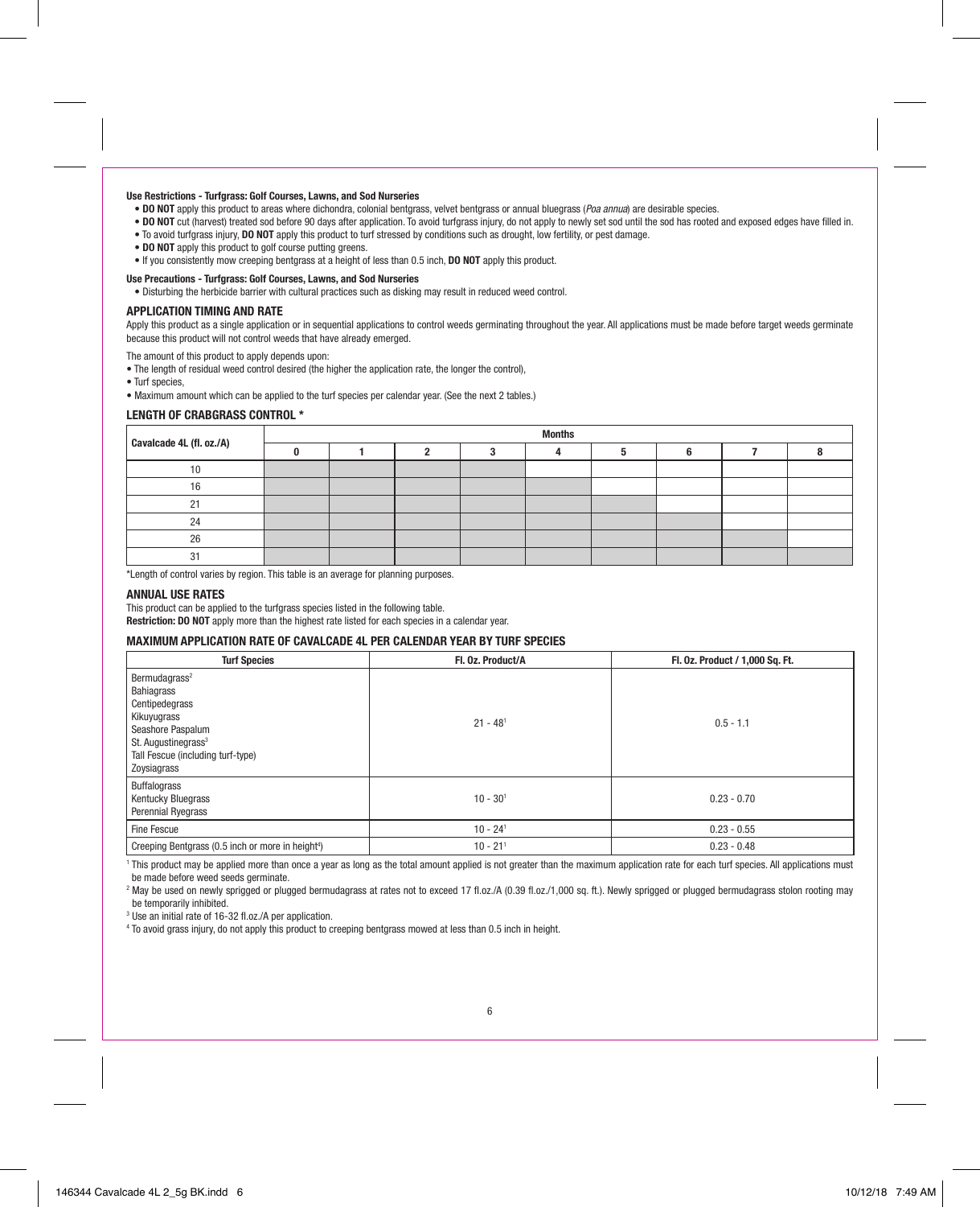## **Use Restrictions - Turfgrass: Golf Courses, Lawns, and Sod Nurseries**

- **DO NOT** apply this product to areas where dichondra, colonial bentgrass, velvet bentgrass or annual bluegrass (*Poa annua*) are desirable species.
- **DO NOT** cut (harvest) treated sod before 90 days after application. To avoid turfgrass injury, do not apply to newly set sod until the sod has rooted and exposed edges have filled in.
- To avoid turfgrass injury, **DO NOT** apply this product to turf stressed by conditions such as drought, low fertility, or pest damage.
- **DO NOT** apply this product to golf course putting greens.
- If you consistently mow creeping bentgrass at a height of less than 0.5 inch, **DO NOT** apply this product.

# **Use Precautions - Turfgrass: Golf Courses, Lawns, and Sod Nurseries**

• Disturbing the herbicide barrier with cultural practices such as disking may result in reduced weed control.

# **APPLICATION TIMING AND RATE**

Apply this product as a single application or in sequential applications to control weeds germinating throughout the year. All applications must be made before target weeds germinate because this product will not control weeds that have already emerged.

The amount of this product to apply depends upon:

- The length of residual weed control desired (the higher the application rate, the longer the control),
- Turf species,
- Maximum amount which can be applied to the turf species per calendar year. (See the next 2 tables.)

# **LENGTH OF CRABGRASS CONTROL \***

|                          | <b>Months</b> |  |  |  |  |  |  |
|--------------------------|---------------|--|--|--|--|--|--|
| Cavalcade 4L (fl. oz./A) |               |  |  |  |  |  |  |
| 10                       |               |  |  |  |  |  |  |
| 16                       |               |  |  |  |  |  |  |
| n.                       |               |  |  |  |  |  |  |
| 24                       |               |  |  |  |  |  |  |
| 26                       |               |  |  |  |  |  |  |
|                          |               |  |  |  |  |  |  |

\*Length of control varies by region. This table is an average for planning purposes.

# **ANNUAL USE RATES**

This product can be applied to the turfgrass species listed in the following table.

**Restriction: DO NOT** apply more than the highest rate listed for each species in a calendar year.

# **MAXIMUM APPLICATION RATE OF CAVALCADE 4L PER CALENDAR YEAR BY TURF SPECIES**

| <b>Turf Species</b>                                                                                                                                                                  | Fl. 0z. Product/A      | Fl. 0z. Product / 1,000 Sq. Ft. |
|--------------------------------------------------------------------------------------------------------------------------------------------------------------------------------------|------------------------|---------------------------------|
| Bermudagrass <sup>2</sup><br>Bahiagrass<br>Centipedegrass<br>Kikuyugrass<br>Seashore Paspalum<br>St. Augustinegrass <sup>3</sup><br>Tall Fescue (including turf-type)<br>Zoysiagrass | $21 - 48$ <sup>1</sup> | $0.5 - 1.1$                     |
| Buffalograss<br><b>Kentucky Bluegrass</b><br>Perennial Ryegrass                                                                                                                      | $10 - 301$             | $0.23 - 0.70$                   |
| Fine Fescue                                                                                                                                                                          | $10 - 24$ <sup>1</sup> | $0.23 - 0.55$                   |
| Creeping Bentgrass (0.5 inch or more in height <sup>4</sup> )                                                                                                                        | $10 - 21$ <sup>1</sup> | $0.23 - 0.48$                   |

<sup>1</sup> This product may be applied more than once a year as long as the total amount applied is not greater than the maximum application rate for each turf species. All applications must be made before weed seeds germinate.

<sup>2</sup> May be used on newly sprigged or plugged bermudagrass at rates not to exceed 17 fl.oz./A (0.39 fl.oz./1,000 sq. ft.). Newly sprigged or plugged bermudagrass stolon rooting may be temporarily inhibited.

<sup>3</sup> Use an initial rate of 16-32 fl.oz./A per application.

<sup>4</sup> To avoid grass injury, do not apply this product to creeping bentgrass mowed at less than 0.5 inch in height.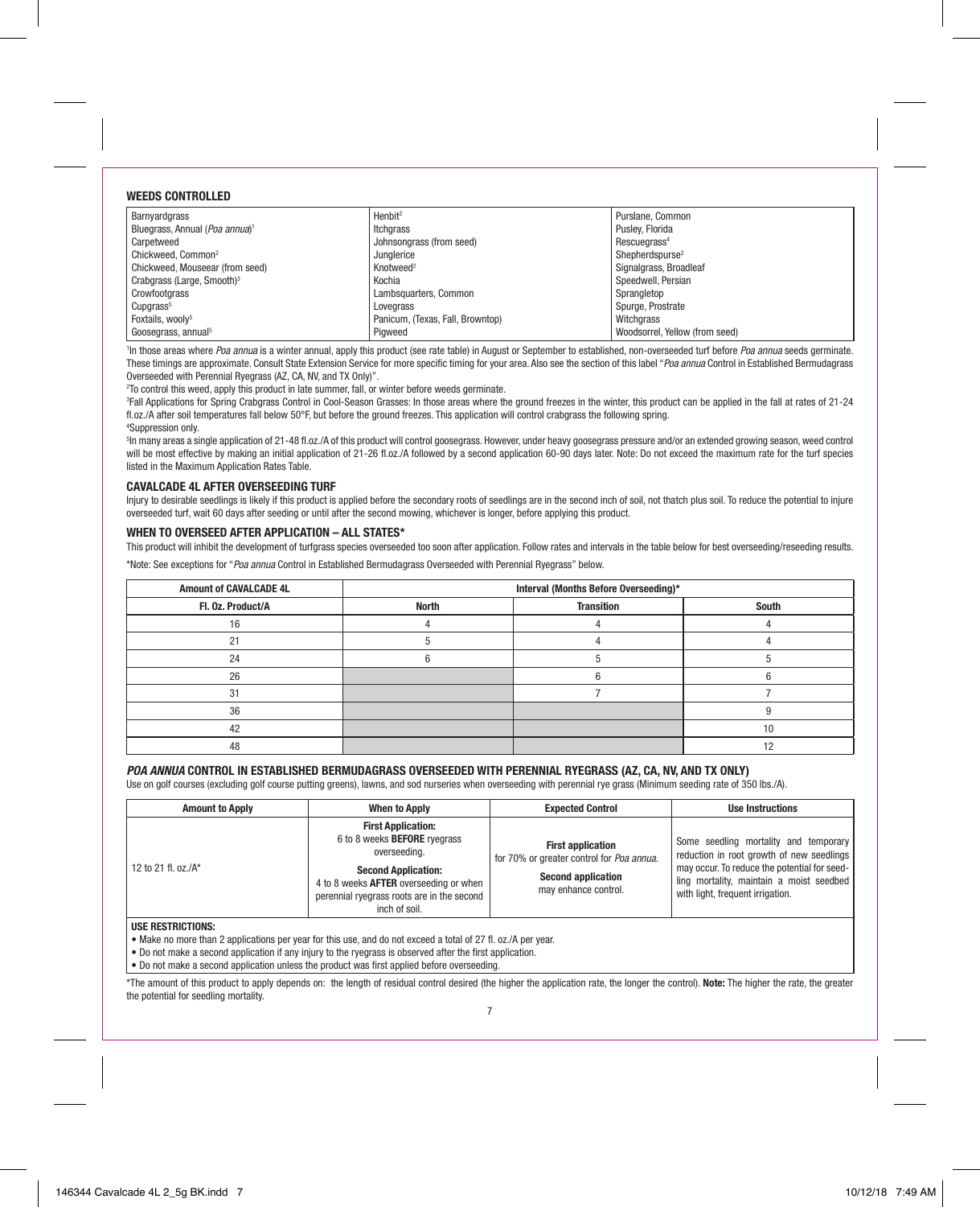# **WEEDS CONTROLLED**

| Barnyardgrass                              | Henbit <sup>2</sup>              | Purslane, Common               |
|--------------------------------------------|----------------------------------|--------------------------------|
| Bluegrass, Annual (Poa annua) <sup>1</sup> | Itcharass                        | Puslev, Florida                |
| Carpetweed                                 | Johnsongrass (from seed)         | Rescuegrass <sup>4</sup>       |
| Chickweed, Common <sup>2</sup>             | Junglerice                       | Shepherdspurse <sup>2</sup>    |
| Chickweed. Mouseear (from seed)            | Knotweed <sup>2</sup>            | Signalgrass, Broadleaf         |
| Crabgrass (Large, Smooth) <sup>3</sup>     | Kochia                           | Speedwell, Persian             |
| Crowfootgrass                              | Lambsquarters, Common            | Sprangletop                    |
| Cupgrass <sup>5</sup>                      | Lovegrass                        | Spurge, Prostrate              |
| Foxtails, woolv <sup>5</sup>               | Panicum. (Texas, Fall, Browntop) | Witchgrass                     |
| Goosegrass, annual <sup>5</sup>            | Piaweed                          | Woodsorrel, Yellow (from seed) |

<sup>1</sup>In those areas where *Poa annua* is a winter annual, apply this product (see rate table) in August or September to established, non-overseeded turf before *Poa annua* seeds germinate. These timings are approximate. Consult State Extension Service for more specific timing for your area. Also see the section of this label "*Poa annua* Control in Established Bermudagrass Overseeded with Perennial Ryegrass (AZ, CA, NV, and TX Only)".

 $^{2}$ To control this weed, apply this product in late summer, fall, or winter before weeds germinate.

3 Fall Applications for Spring Crabgrass Control in Cool-Season Grasses: In those areas where the ground freezes in the winter, this product can be applied in the fall at rates of 21-24 fl.oz./A after soil temperatures fall below 50°F, but before the ground freezes. This application will control crabgrass the following spring. 4 Suppression only.

5 In many areas a single application of 21-48 fl.oz./A of this product will control goosegrass. However, under heavy goosegrass pressure and/or an extended growing season, weed control will be most effective by making an initial application of 21-26 fl.oz./A followed by a second application 60-90 days later. Note: Do not exceed the maximum rate for the turf species listed in the Maximum Application Rates Table.

# **CAVALCADE 4L AFTER OVERSEEDING TURF**

Injury to desirable seedlings is likely if this product is applied before the secondary roots of seedlings are in the second inch of soil, not thatch plus soil. To reduce the potential to injure overseeded turf, wait 60 days after seeding or until after the second mowing, whichever is longer, before applying this product.

# **WHEN TO OVERSEED AFTER APPLICATION – ALL STATES\***

This product will inhibit the development of turfgrass species overseeded too soon after application. Follow rates and intervals in the table below for best overseeding/reseeding results.

\*Note: See exceptions for "*Poa annua* Control in Established Bermudagrass Overseeded with Perennial Ryegrass" below.

| <b>Amount of CAVALCADE 4L</b> |              | Interval (Months Before Overseeding)* |       |
|-------------------------------|--------------|---------------------------------------|-------|
| Fl. 0z. Product/A             | <b>North</b> | <b>Transition</b>                     | South |
| 16                            |              |                                       |       |
|                               |              |                                       |       |
| 24                            |              |                                       |       |
| 26                            |              |                                       |       |
| 21                            |              |                                       |       |
| 36                            |              |                                       |       |
| 42                            |              |                                       | 10    |
| 48                            |              |                                       |       |

# **POA ANNUA CONTROL IN ESTABLISHED BERMUDAGRASS OVERSEEDED WITH PERENNIAL RYEGRASS (AZ, CA, NV, AND TX ONLY)**

Use on golf courses (excluding golf course putting greens), lawns, and sod nurseries when overseeding with perennial rye grass (Minimum seeding rate of 350 lbs./A).

| <b>Amount to Apply</b>  | <b>When to Apply</b>                                                                                                                                                                                                    | <b>Expected Control</b>                                                                                                    | <b>Use Instructions</b>                                                                                                                                                                                            |
|-------------------------|-------------------------------------------------------------------------------------------------------------------------------------------------------------------------------------------------------------------------|----------------------------------------------------------------------------------------------------------------------------|--------------------------------------------------------------------------------------------------------------------------------------------------------------------------------------------------------------------|
| 12 to 21 fl. oz./ $A^*$ | <b>First Application:</b><br>6 to 8 weeks <b>BEFORE</b> ryegrass<br>overseeding.<br><b>Second Application:</b><br>4 to 8 weeks AFTER overseeding or when<br>perennial ryegrass roots are in the second<br>inch of soil. | <b>First application</b><br>for 70% or greater control for Poa annua.<br><b>Second application</b><br>may enhance control. | Some seedling mortality and temporary<br>reduction in root growth of new seedlings<br>may occur. To reduce the potential for seed-<br>ling mortality, maintain a moist seedbed<br>with light, frequent irrigation. |
|                         |                                                                                                                                                                                                                         |                                                                                                                            |                                                                                                                                                                                                                    |

#### **USE RESTRICTIONS:**

• Make no more than 2 applications per year for this use, and do not exceed a total of 27 fl. oz./A per year.

• Do not make a second application if any injury to the ryegrass is observed after the first application.

• Do not make a second application unless the product was first applied before overseeding.

\*The amount of this product to apply depends on: the length of residual control desired (the higher the application rate, the longer the control). **Note:** The higher the rate, the greater the potential for seedling mortality.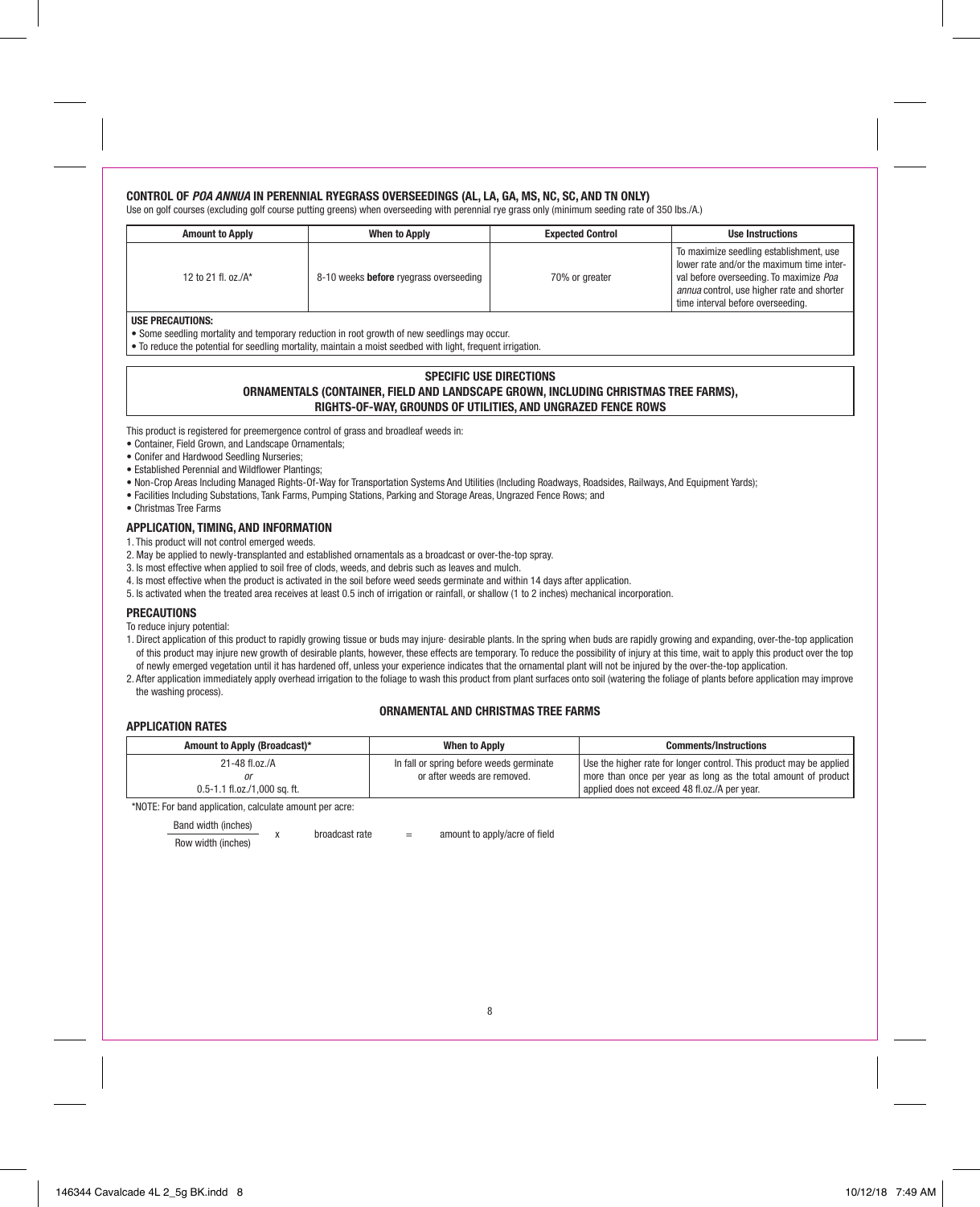# **CONTROL OF POA ANNUA IN PERENNIAL RYEGRASS OVERSEEDINGS (AL, LA, GA, MS, NC, SC, AND TN ONLY)**

Use on golf courses (excluding golf course putting greens) when overseeding with perennial rye grass only (minimum seeding rate of 350 lbs./A.)

| <b>Amount to Apply</b>       | <b>When to Apply</b>                          | <b>Expected Control</b> | <b>Use Instructions</b>                                                                                                                                                                                              |
|------------------------------|-----------------------------------------------|-------------------------|----------------------------------------------------------------------------------------------------------------------------------------------------------------------------------------------------------------------|
| 12 to 21 fl. oz./ $A^*$      | 8-10 weeks <b>before</b> ryegrass overseeding | 70% or greater          | To maximize seedling establishment, use<br>lower rate and/or the maximum time inter-<br>val before overseeding. To maximize Poa<br>annua control, use higher rate and shorter<br>l time interval before overseeding. |
| $ - - - - - - - - - - - - -$ |                                               |                         |                                                                                                                                                                                                                      |

# **USE PRECAUTIONS:**

- Some seedling mortality and temporary reduction in root growth of new seedlings may occur.
- To reduce the potential for seedling mortality, maintain a moist seedbed with light, frequent irrigation.

# **SPECIFIC USE DIRECTIONS ORNAMENTALS (CONTAINER, FIELD AND LANDSCAPE GROWN, INCLUDING CHRISTMAS TREE FARMS), RIGHTS-OF-WAY, GROUNDS OF UTILITIES, AND UNGRAZED FENCE ROWS**

This product is registered for preemergence control of grass and broadleaf weeds in:

- Container, Field Grown, and Landscape Ornamentals;
- Conifer and Hardwood Seedling Nurseries;
- Established Perennial and Wildflower Plantings;
- Non-Crop Areas Including Managed Rights-Of-Way for Transportation Systems And Utilities (Including Roadways, Roadsides, Railways, And Equipment Yards);
- Facilities Including Substations, Tank Farms, Pumping Stations, Parking and Storage Areas, Ungrazed Fence Rows; and
- Christmas Tree Farms

# **APPLICATION, TIMING, AND INFORMATION**

1. This product will not control emerged weeds.

- 2. May be applied to newly-transplanted and established ornamentals as a broadcast or over-the-top spray.
- 3. Is most effective when applied to soil free of clods, weeds, and debris such as leaves and mulch.
- 4. Is most effective when the product is activated in the soil before weed seeds germinate and within 14 days after application.
- 5. Is activated when the treated area receives at least 0.5 inch of irrigation or rainfall, or shallow (1 to 2 inches) mechanical incorporation.

# **PRECAUTIONS**

To reduce injury potential:

- 1. Direct application of this product to rapidly growing tissue or buds may injure· desirable plants. In the spring when buds are rapidly growing and expanding, over-the-top application of this product may injure new growth of desirable plants, however, these effects are temporary. To reduce the possibility of injury at this time, wait to apply this product over the top of newly emerged vegetation until it has hardened off, unless your experience indicates that the ornamental plant will not be injured by the over-the-top application.
- 2. After application immediately apply overhead irrigation to the foliage to wash this product from plant surfaces onto soil (watering the foliage of plants before application may improve the washing process).

# **ORNAMENTAL AND CHRISTMAS TREE FARMS**

# **APPLICATION RATES**

| Amount to Apply (Broadcast)* | <b>When to Apply</b>                     | <b>Comments/Instructions</b>                                        |
|------------------------------|------------------------------------------|---------------------------------------------------------------------|
| $21 - 48$ fl.oz./A           | In fall or spring before weeds germinate | Use the higher rate for longer control. This product may be applied |
|                              | or after weeds are removed.              | more than once per year as long as the total amount of product      |
| 0.5-1.1 fl.oz./1.000 sq. ft. |                                          | applied does not exceed 48 fl.oz./A per year.                       |

\*NOTE: For band application, calculate amount per acre:

| Band width (inches) | broadcast rate | amount to apply/acre of field |
|---------------------|----------------|-------------------------------|
| Row width (inches)  |                |                               |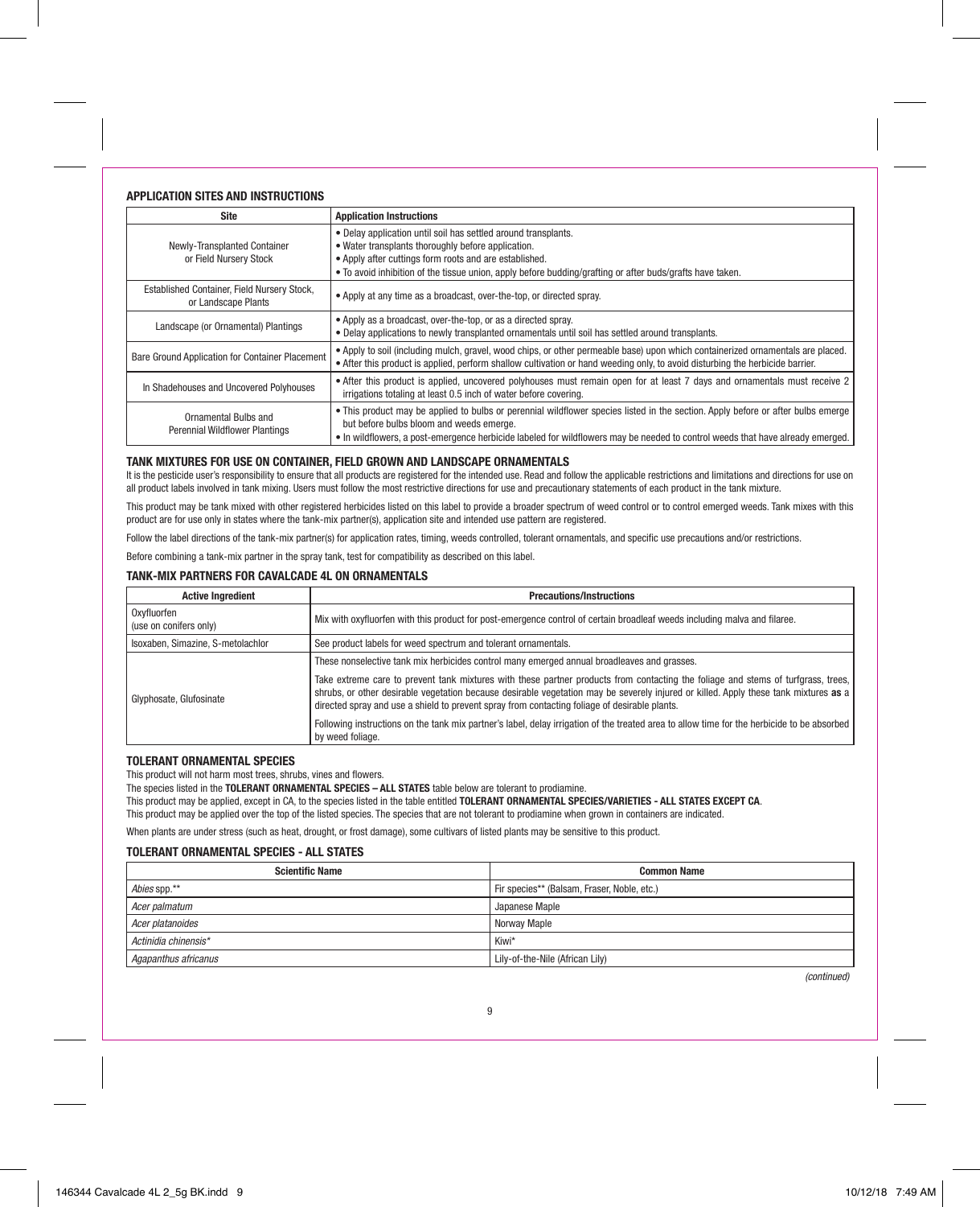# **APPLICATION SITES AND INSTRUCTIONS**

| <b>Site</b>                                                        | <b>Application Instructions</b>                                                                                                                                                                                                                                                                                |
|--------------------------------------------------------------------|----------------------------------------------------------------------------------------------------------------------------------------------------------------------------------------------------------------------------------------------------------------------------------------------------------------|
| Newly-Transplanted Container<br>or Field Nursery Stock             | • Delay application until soil has settled around transplants.<br>• Water transplants thoroughly before application.<br>• Apply after cuttings form roots and are established.<br>• To avoid inhibition of the tissue union, apply before budding/grafting or after buds/grafts have taken.                    |
| Established Container, Field Nursery Stock,<br>or Landscape Plants | • Apply at any time as a broadcast, over-the-top, or directed spray.                                                                                                                                                                                                                                           |
| Landscape (or Ornamental) Plantings                                | • Apply as a broadcast, over-the-top, or as a directed spray.<br>. Delay applications to newly transplanted ornamentals until soil has settled around transplants.                                                                                                                                             |
| Bare Ground Application for Container Placement                    | • Apply to soil (including mulch, gravel, wood chips, or other permeable base) upon which containerized ornamentals are placed.<br>• After this product is applied, perform shallow cultivation or hand weeding only, to avoid disturbing the herbicide barrier.                                               |
| In Shadehouses and Uncovered Polyhouses                            | • After this product is applied, uncovered polyhouses must remain open for at least 7 days and ornamentals must receive 2<br>irrigations totaling at least 0.5 inch of water before covering.                                                                                                                  |
| Ornamental Bulbs and<br>Perennial Wildflower Plantings             | . This product may be applied to bulbs or perennial wildflower species listed in the section. Apply before or after bulbs emerge<br>but before bulbs bloom and weeds emerge.<br>• In wildflowers, a post-emergence herbicide labeled for wildflowers may be needed to control weeds that have already emerged. |

# **TANK MIXTURES FOR USE ON CONTAINER, FIELD GROWN AND LANDSCAPE ORNAMENTALS**

It is the pesticide user's responsibility to ensure that all products are registered for the intended use. Read and follow the applicable restrictions and limitations and directions for use on all product labels involved in tank mixing. Users must follow the most restrictive directions for use and precautionary statements of each product in the tank mixture.

This product may be tank mixed with other registered herbicides listed on this label to provide a broader spectrum of weed control or to control emerged weeds. Tank mixes with this product are for use only in states where the tank-mix partner(s), application site and intended use pattern are registered.

Follow the label directions of the tank-mix partner(s) for application rates, timing, weeds controlled, tolerant ornamentals, and specific use precautions and/or restrictions.

Before combining a tank-mix partner in the spray tank, test for compatibility as described on this label.

# **TANK-MIX PARTNERS FOR CAVALCADE 4L ON ORNAMENTALS**

| <b>Active Ingredient</b>              | <b>Precautions/Instructions</b>                                                                                                                                                                                                                                                                                                                                            |
|---------------------------------------|----------------------------------------------------------------------------------------------------------------------------------------------------------------------------------------------------------------------------------------------------------------------------------------------------------------------------------------------------------------------------|
| Oxyfluorfen<br>(use on conifers only) | Mix with oxyfluorfen with this product for post-emergence control of certain broadleaf weeds including malva and filaree.                                                                                                                                                                                                                                                  |
| Isoxaben, Simazine, S-metolachlor     | See product labels for weed spectrum and tolerant ornamentals.                                                                                                                                                                                                                                                                                                             |
| Glyphosate, Glufosinate               | These nonselective tank mix herbicides control many emerged annual broadleaves and grasses.                                                                                                                                                                                                                                                                                |
|                                       | Take extreme care to prevent tank mixtures with these partner products from contacting the foliage and stems of turfgrass, trees,<br>shrubs, or other desirable vegetation because desirable vegetation may be severely injured or killed. Apply these tank mixtures as a<br>directed spray and use a shield to prevent spray from contacting foliage of desirable plants. |
|                                       | Following instructions on the tank mix partner's label, delay irrigation of the treated area to allow time for the herbicide to be absorbed<br>by weed foliage.                                                                                                                                                                                                            |

# **TOLERANT ORNAMENTAL SPECIES**

This product will not harm most trees, shrubs, vines and flowers.

The species listed in the **TOLERANT ORNAMENTAL SPECIES – ALL STATES** table below are tolerant to prodiamine.

This product may be applied, except in CA, to the species listed in the table entitled **TOLERANT ORNAMENTAL SPECIES/VARIETIES - ALL STATES EXCEPT CA**.

This product may be applied over the top of the listed species. The species that are not tolerant to prodiamine when grown in containers are indicated.

When plants are under stress (such as heat, drought, or frost damage), some cultivars of listed plants may be sensitive to this product.

# **TOLERANT ORNAMENTAL SPECIES - ALL STATES**

| <b>Scientific Name</b> | <b>Common Name</b>                          |
|------------------------|---------------------------------------------|
| Abies spp.**           | Fir species** (Balsam, Fraser, Noble, etc.) |
| Acer palmatum          | Japanese Maple                              |
| Acer platanoides       | Norway Maple                                |
| Actinidia chinensis*   | Kiwi*                                       |
| Agapanthus africanus   | Lily-of-the-Nile (African Lily)             |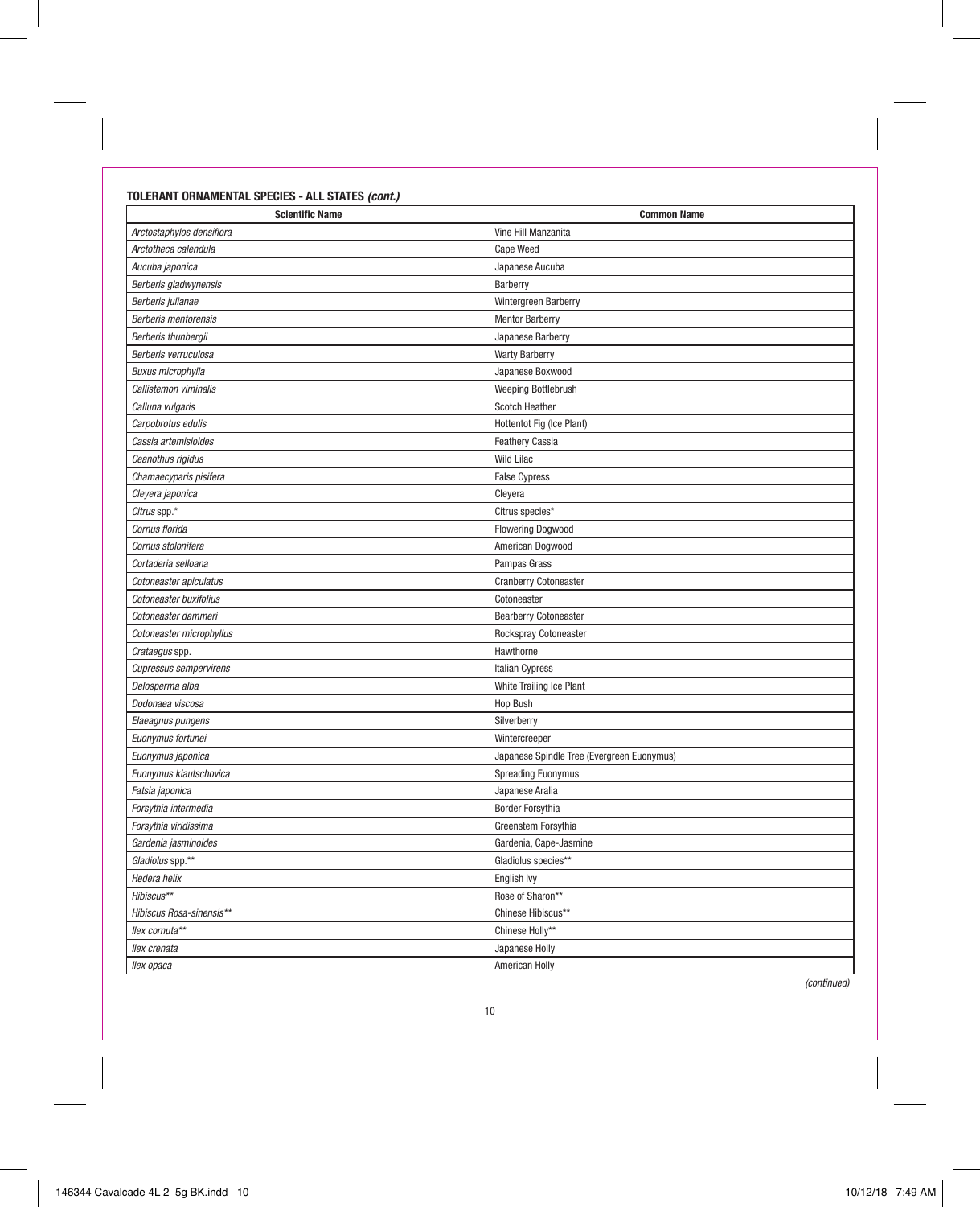# **TOLERANT ORNAMENTAL SPECIES - ALL STATES (cont.)**

| <b>Scientific Name</b>        | <b>Common Name</b>                         |
|-------------------------------|--------------------------------------------|
| Arctostaphylos densiflora     | Vine Hill Manzanita                        |
| Arctotheca calendula          | Cape Weed                                  |
| Aucuba japonica               | Japanese Aucuba                            |
| Berberis gladwynensis         | Barberry                                   |
| Berberis julianae             | Wintergreen Barberry                       |
| Berberis mentorensis          | <b>Mentor Barberry</b>                     |
| Berberis thunbergii           | Japanese Barberry                          |
| Berberis verruculosa          | <b>Warty Barberry</b>                      |
| <b>Buxus microphylla</b>      | Japanese Boxwood                           |
| Callistemon viminalis         | Weeping Bottlebrush                        |
| Calluna vulgaris              | Scotch Heather                             |
| Carpobrotus edulis            | Hottentot Fig (Ice Plant)                  |
| Cassia artemisioides          | <b>Feathery Cassia</b>                     |
| Ceanothus rigidus             | <b>Wild Lilac</b>                          |
| Chamaecyparis pisifera        | <b>False Cypress</b>                       |
| Cleyera japonica              | Cleyera                                    |
| Citrus spp.*                  | Citrus species*                            |
| Cornus florida                | <b>Flowering Dogwood</b>                   |
| Cornus stolonifera            | American Dogwood                           |
| Cortaderia selloana           | Pampas Grass                               |
| Cotoneaster apiculatus        | <b>Cranberry Cotoneaster</b>               |
| Cotoneaster buxifolius        | Cotoneaster                                |
| Cotoneaster dammeri           | <b>Bearberry Cotoneaster</b>               |
| Cotoneaster microphyllus      | Rockspray Cotoneaster                      |
| Crataegus spp.                | Hawthorne                                  |
| <b>Cupressus sempervirens</b> | <b>Italian Cypress</b>                     |
| Delosperma alba               | White Trailing Ice Plant                   |
| Dodonaea viscosa              | Hop Bush                                   |
| Elaeagnus pungens             | Silverberry                                |
| Euonymus fortunei             | Wintercreeper                              |
| Euonymus japonica             | Japanese Spindle Tree (Evergreen Euonymus) |
| Euonymus kiautschovica        | <b>Spreading Euonymus</b>                  |
| Fatsia japonica               | Japanese Aralia                            |
| Forsythia intermedia          | Border Forsythia                           |
| Forsythia viridissima         | Greenstem Forsythia                        |
| Gardenia jasminoides          | Gardenia, Cape-Jasmine                     |
| Gladiolus spp.**              | Gladiolus species**                        |
| Hedera helix                  | English Ivy                                |
| Hibiscus**                    | Rose of Sharon**                           |
| Hibiscus Rosa-sinensis**      | Chinese Hibiscus**                         |
| llex cornuta**                | Chinese Holly**                            |
| llex crenata                  | Japanese Holly                             |
| llex opaca                    | American Holly                             |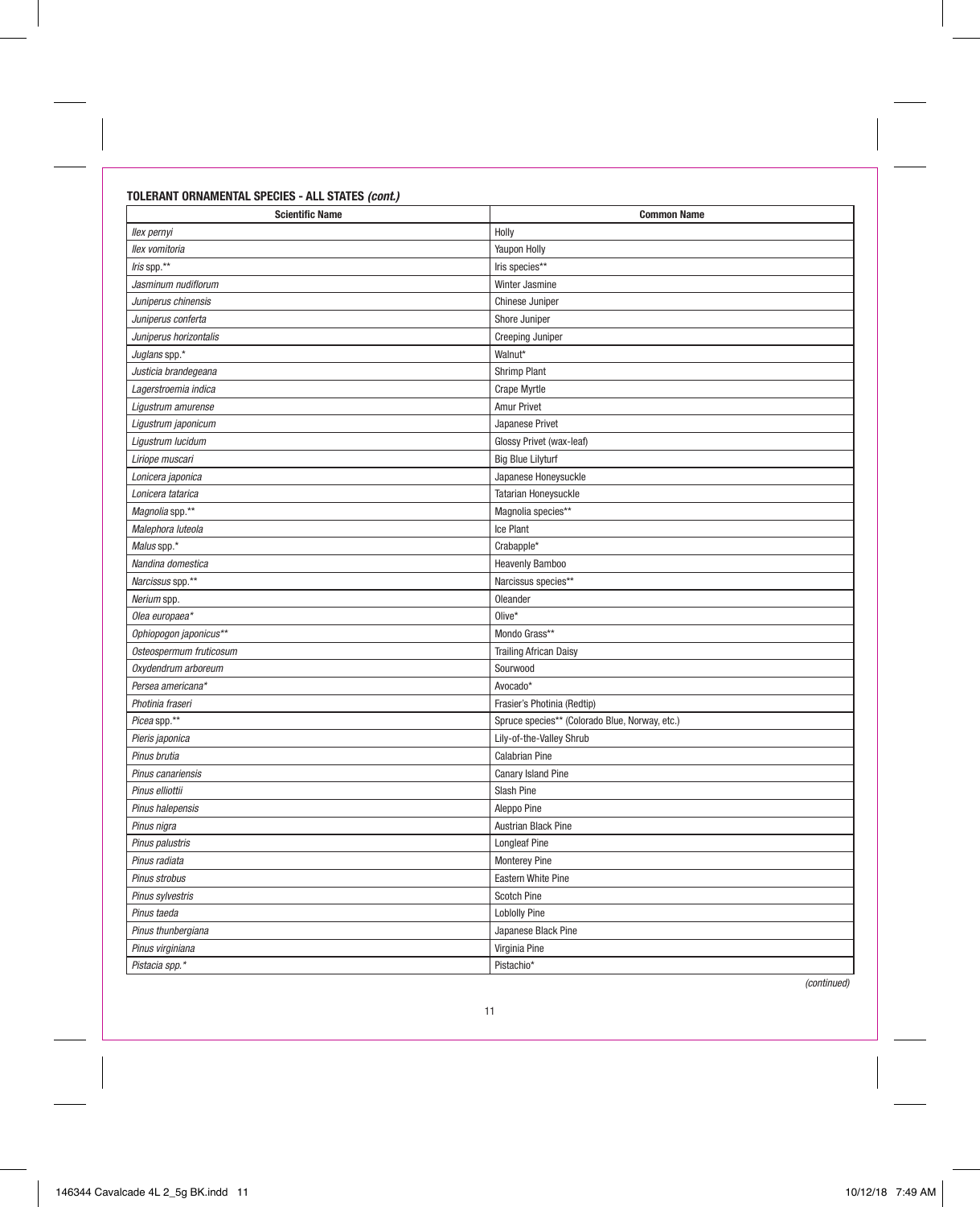# **TOLERANT ORNAMENTAL SPECIES - ALL STATES (cont.)**

| <b>Scientific Name</b>  | <b>Common Name</b>                             |
|-------------------------|------------------------------------------------|
| llex pernyi             | Holly                                          |
| llex vomitoria          | <b>Yaupon Holly</b>                            |
| Iris spp.**             | Iris species**                                 |
| Jasminum nudiflorum     | Winter Jasmine                                 |
| Juniperus chinensis     | Chinese Juniper                                |
| Juniperus conferta      | Shore Juniper                                  |
| Juniperus horizontalis  | Creeping Juniper                               |
| Juglans spp.*           | Walnut*                                        |
| Justicia brandegeana    | Shrimp Plant                                   |
| Lagerstroemia indica    | <b>Crape Myrtle</b>                            |
| Ligustrum amurense      | Amur Privet                                    |
| Ligustrum japonicum     | Japanese Privet                                |
| Ligustrum lucidum       | Glossy Privet (wax-leaf)                       |
| Liriope muscari         | <b>Big Blue Lilyturf</b>                       |
| Lonicera japonica       | Japanese Honeysuckle                           |
| Lonicera tatarica       | <b>Tatarian Honeysuckle</b>                    |
| Magnolia spp.**         | Magnolia species**                             |
| Malephora luteola       | Ice Plant                                      |
| Malus spp.*             | Crabapple*                                     |
| Nandina domestica       | <b>Heavenly Bamboo</b>                         |
| Narcissus spp.**        | Narcissus species**                            |
| Nerium spp.             | Oleander                                       |
| Olea europaea*          | Olive*                                         |
| Ophiopogon japonicus**  | Mondo Grass**                                  |
| Osteospermum fruticosum | <b>Trailing African Daisy</b>                  |
| Oxydendrum arboreum     | Sourwood                                       |
| Persea americana*       | Avocado*                                       |
| Photinia fraseri        | Frasier's Photinia (Redtip)                    |
| Picea spp.**            | Spruce species** (Colorado Blue, Norway, etc.) |
| Pieris japonica         | Lily-of-the-Valley Shrub                       |
| Pinus brutia            | <b>Calabrian Pine</b>                          |
| Pinus canariensis       | Canary Island Pine                             |
| Pinus elliottii         | Slash Pine                                     |
| Pinus halepensis        | Aleppo Pine                                    |
| Pinus nigra             | <b>Austrian Black Pine</b>                     |
| Pinus palustris         | <b>Longleaf Pine</b>                           |
| Pinus radiata           | <b>Monterey Pine</b>                           |
| Pinus strobus           | <b>Eastern White Pine</b>                      |
| Pinus sylvestris        | Scotch Pine                                    |
| Pinus taeda             | <b>Loblolly Pine</b>                           |
| Pinus thunbergiana      | Japanese Black Pine                            |
| Pinus virginiana        | Virginia Pine                                  |
| Pistacia spp.*          | Pistachio*                                     |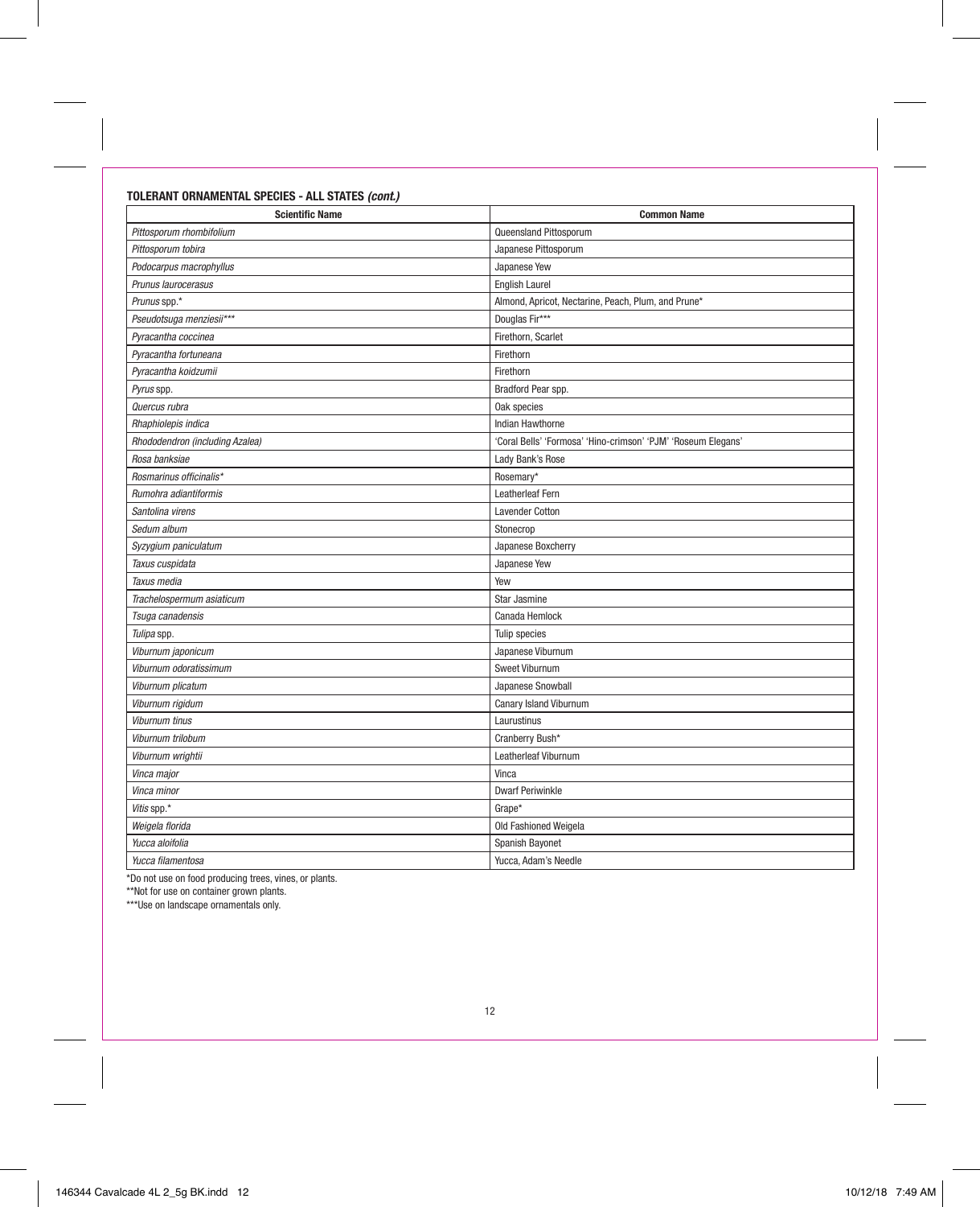# **TOLERANT ORNAMENTAL SPECIES - ALL STATES (cont.)**

| <b>Scientific Name</b>          | <b>Common Name</b>                                            |
|---------------------------------|---------------------------------------------------------------|
| Pittosporum rhombifolium        | Queensland Pittosporum                                        |
| Pittosporum tobira              | Japanese Pittosporum                                          |
| Podocarpus macrophyllus         | Japanese Yew                                                  |
| Prunus laurocerasus             | <b>English Laurel</b>                                         |
| Prunus spp.*                    | Almond, Apricot, Nectarine, Peach, Plum, and Prune*           |
| Pseudotsuga menziesii***        | Douglas Fir***                                                |
| Pyracantha coccinea             | Firethorn, Scarlet                                            |
| Pyracantha fortuneana           | Firethorn                                                     |
| Pyracantha koidzumii            | Firethorn                                                     |
| Pyrus spp.                      | Bradford Pear spp.                                            |
| Quercus rubra                   | Oak species                                                   |
| Rhaphiolepis indica             | Indian Hawthorne                                              |
| Rhododendron (including Azalea) | 'Coral Bells' 'Formosa' 'Hino-crimson' 'PJM' 'Roseum Elegans' |
| Rosa banksiae                   | Lady Bank's Rose                                              |
| Rosmarinus officinalis*         | Rosemary*                                                     |
| Rumohra adiantiformis           | Leatherleaf Fern                                              |
| Santolina virens                | Lavender Cotton                                               |
| Sedum album                     | Stonecrop                                                     |
| Syzygium paniculatum            | Japanese Boxcherry                                            |
| Taxus cuspidata                 | Japanese Yew                                                  |
| Taxus media                     | Yew                                                           |
| Trachelospermum asiaticum       | Star Jasmine                                                  |
| Tsuga canadensis                | Canada Hemlock                                                |
| Tulipa spp.                     | Tulip species                                                 |
| Viburnum japonicum              | Japanese Viburnum                                             |
| Viburnum odoratissimum          | Sweet Viburnum                                                |
| Viburnum plicatum               | Japanese Snowball                                             |
| Viburnum rigidum                | Canary Island Viburnum                                        |
| <b>Viburnum tinus</b>           | Laurustinus                                                   |
| Viburnum trilobum               | Cranberry Bush*                                               |
| Viburnum wrightii               | Leatherleaf Viburnum                                          |
| Vinca major                     | Vinca                                                         |
| Vinca minor                     | <b>Dwarf Periwinkle</b>                                       |
| Vitis spp.*                     | Grape*                                                        |
| Weigela florida                 | Old Fashioned Weigela                                         |
| Yucca aloifolia                 | Spanish Bayonet                                               |
| Yucca filamentosa               | Yucca, Adam's Needle                                          |

\*Do not use on food producing trees, vines, or plants. \*\*Not for use on container grown plants. \*\*\*Use on landscape ornamentals only.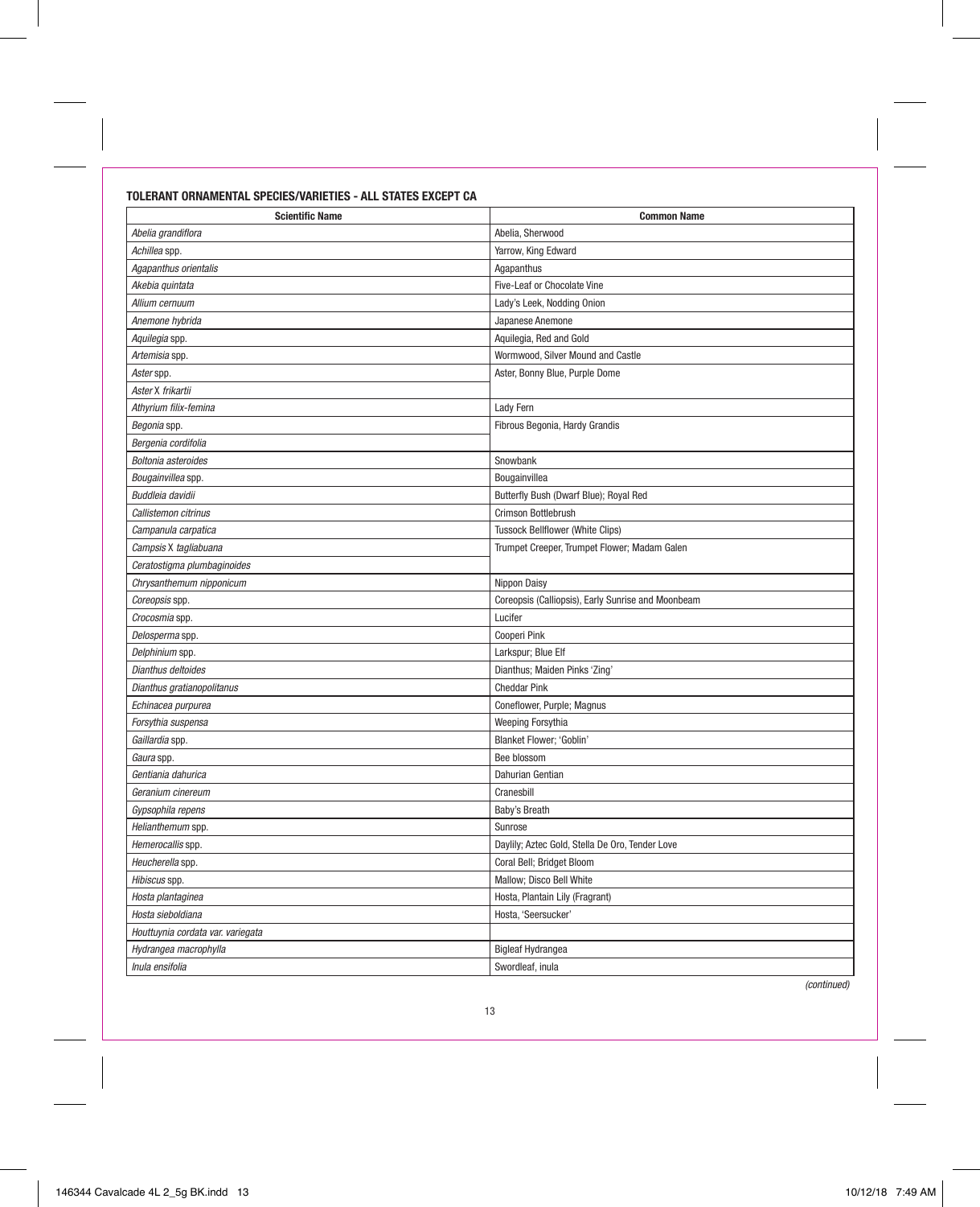# **TOLERANT ORNAMENTAL SPECIES/VARIETIES - ALL STATES EXCEPT CA**

| <b>Scientific Name</b>            | <b>Common Name</b>                                 |
|-----------------------------------|----------------------------------------------------|
| Abelia grandiflora                | Abelia, Sherwood                                   |
| Achillea spp.                     | Yarrow, King Edward                                |
| Agapanthus orientalis             | Agapanthus                                         |
| Akebia quintata                   | Five-Leaf or Chocolate Vine                        |
| Allium cernuum                    | Lady's Leek, Nodding Onion                         |
| Anemone hvbrida                   | Japanese Anemone                                   |
| Aquilegia spp.                    | Aquilegia, Red and Gold                            |
| Artemisia spp.                    | Wormwood, Silver Mound and Castle                  |
| Aster spp.                        | Aster, Bonny Blue, Purple Dome                     |
| Aster X frikartii                 |                                                    |
| Athyrium filix-femina             | Lady Fern                                          |
| Begonia spp.                      | Fibrous Begonia, Hardy Grandis                     |
| Bergenia cordifolia               |                                                    |
| Boltonia asteroides               | Snowbank                                           |
| Bougainvillea spp.                | Bougainvillea                                      |
| Buddleia davidii                  | Butterfly Bush (Dwarf Blue); Royal Red             |
| Callistemon citrinus              | Crimson Bottlebrush                                |
| Campanula carpatica               | <b>Tussock Bellflower (White Clips)</b>            |
| Campsis X tagliabuana             | Trumpet Creeper, Trumpet Flower; Madam Galen       |
| Ceratostigma plumbaginoides       |                                                    |
| Chrysanthemum nipponicum          | Nippon Daisy                                       |
| Coreopsis spp.                    | Coreopsis (Calliopsis), Early Sunrise and Moonbeam |
| Crocosmia spp.                    | Lucifer                                            |
| Delosperma spp.                   | Cooperi Pink                                       |
| Delphinium spp.                   | Larkspur; Blue Elf                                 |
| Dianthus deltoides                | Dianthus; Maiden Pinks 'Zing'                      |
| Dianthus gratianopolitanus        | <b>Cheddar Pink</b>                                |
| Echinacea purpurea                | Coneflower, Purple; Magnus                         |
| Forsythia suspensa                | Weeping Forsythia                                  |
| Gaillardia spp.                   | Blanket Flower; 'Goblin'                           |
| Gaura spp.                        | Bee blossom                                        |
| Gentiania dahurica                | Dahurian Gentian                                   |
| Geranium cinereum                 | Cranesbill                                         |
| Gypsophila repens                 | Baby's Breath                                      |
| Helianthemum spp.                 | Sunrose                                            |
| Hemerocallis spp.                 | Daylily; Aztec Gold, Stella De Oro, Tender Love    |
| Heucherella spp.                  | Coral Bell; Bridget Bloom                          |
| Hibiscus spp.                     | Mallow; Disco Bell White                           |
| Hosta plantaginea                 | Hosta, Plantain Lily (Fragrant)                    |
| Hosta sieboldiana                 | Hosta, 'Seersucker'                                |
| Houttuynia cordata var. variegata |                                                    |
| Hydrangea macrophylla             | <b>Bigleaf Hydrangea</b>                           |
| Inula ensifolia                   | Swordleaf, inula                                   |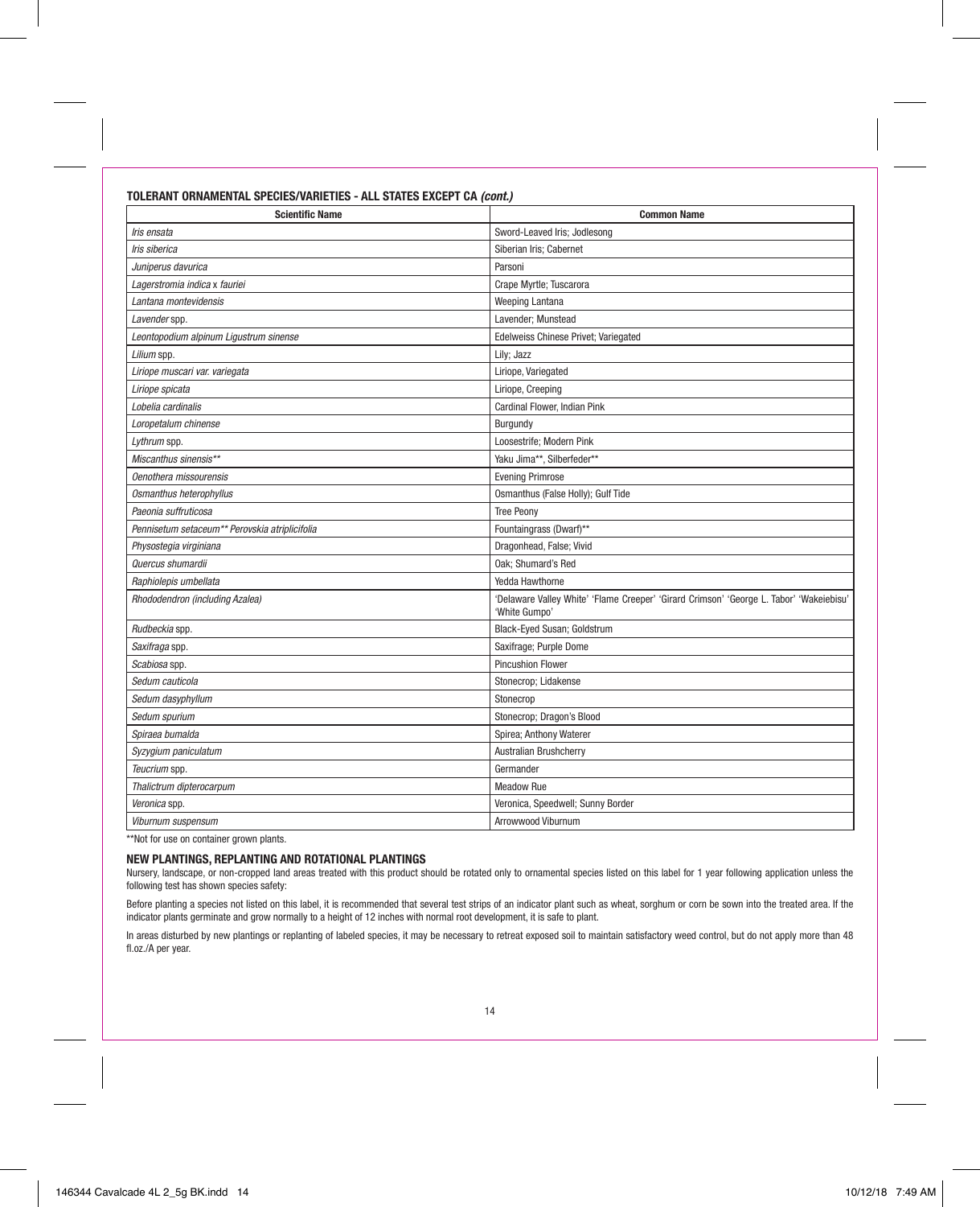# **TOLERANT ORNAMENTAL SPECIES/VARIETIES - ALL STATES EXCEPT CA (cont.)**

| <b>Scientific Name</b>                         | <b>Common Name</b>                                                                                       |
|------------------------------------------------|----------------------------------------------------------------------------------------------------------|
| Iris ensata                                    | Sword-Leaved Iris; Jodlesong                                                                             |
| Iris siberica                                  | Siberian Iris; Cabernet                                                                                  |
| Juniperus davurica                             | Parsoni                                                                                                  |
| Lagerstromia indica x fauriei                  | Crape Myrtle; Tuscarora                                                                                  |
| Lantana montevidensis                          | Weeping Lantana                                                                                          |
| Lavender spp.                                  | Lavender; Munstead                                                                                       |
| Leontopodium alpinum Ligustrum sinense         | <b>Edelweiss Chinese Privet; Variegated</b>                                                              |
| Lilium spp.                                    | Lily; Jazz                                                                                               |
| Liriope muscari var. variegata                 | Liriope, Variegated                                                                                      |
| Liriope spicata                                | Liriope, Creeping                                                                                        |
| Lobelia cardinalis                             | Cardinal Flower, Indian Pink                                                                             |
| Loropetalum chinense                           | Burgundy                                                                                                 |
| Lythrum spp.                                   | Loosestrife: Modern Pink                                                                                 |
| Miscanthus sinensis**                          | Yaku Jima**, Silberfeder**                                                                               |
| Oenothera missourensis                         | <b>Evening Primrose</b>                                                                                  |
| Osmanthus heterophyllus                        | Osmanthus (False Holly); Gulf Tide                                                                       |
| Paeonia suffruticosa                           | <b>Tree Peonv</b>                                                                                        |
| Pennisetum setaceum** Perovskia atriplicifolia | Fountaingrass (Dwarf)**                                                                                  |
| Physostegia virginiana                         | Dragonhead, False; Vivid                                                                                 |
| Quercus shumardii                              | Oak; Shumard's Red                                                                                       |
| Raphiolepis umbellata                          | Yedda Hawthorne                                                                                          |
| Rhododendron (including Azalea)                | 'Delaware Valley White' 'Flame Creeper' 'Girard Crimson' 'George L. Tabor' 'Wakeiebisu'<br>'White Gumpo' |
| Rudbeckia spp.                                 | Black-Eyed Susan; Goldstrum                                                                              |
| Saxifraga spp.                                 | Saxifrage; Purple Dome                                                                                   |
| Scabiosa spp.                                  | <b>Pincushion Flower</b>                                                                                 |
| Sedum cauticola                                | Stonecrop; Lidakense                                                                                     |
| Sedum dasyphyllum                              | Stonecrop                                                                                                |
| Sedum spurium                                  | Stonecrop; Dragon's Blood                                                                                |
| Spiraea bumalda                                | Spirea; Anthony Waterer                                                                                  |
| Syzygium paniculatum                           | Australian Brushcherry                                                                                   |
| Teucrium spp.                                  | Germander                                                                                                |
| Thalictrum dipterocarpum                       | Meadow Rue                                                                                               |
| Veronica spp.                                  | Veronica, Speedwell; Sunny Border                                                                        |
| Viburnum suspensum                             | Arrowwood Viburnum                                                                                       |

\*\*Not for use on container grown plants.

# **NEW PLANTINGS, REPLANTING AND ROTATIONAL PLANTINGS**

Nursery, landscape, or non-cropped land areas treated with this product should be rotated only to ornamental species listed on this label for 1 year following application unless the following test has shown species safety:

Before planting a species not listed on this label, it is recommended that several test strips of an indicator plant such as wheat, sorghum or corn be sown into the treated area. If the indicator plants germinate and grow normally to a height of 12 inches with normal root development, it is safe to plant.

In areas disturbed by new plantings or replanting of labeled species, it may be necessary to retreat exposed soil to maintain satisfactory weed control, but do not apply more than 48 fl.oz./A per year.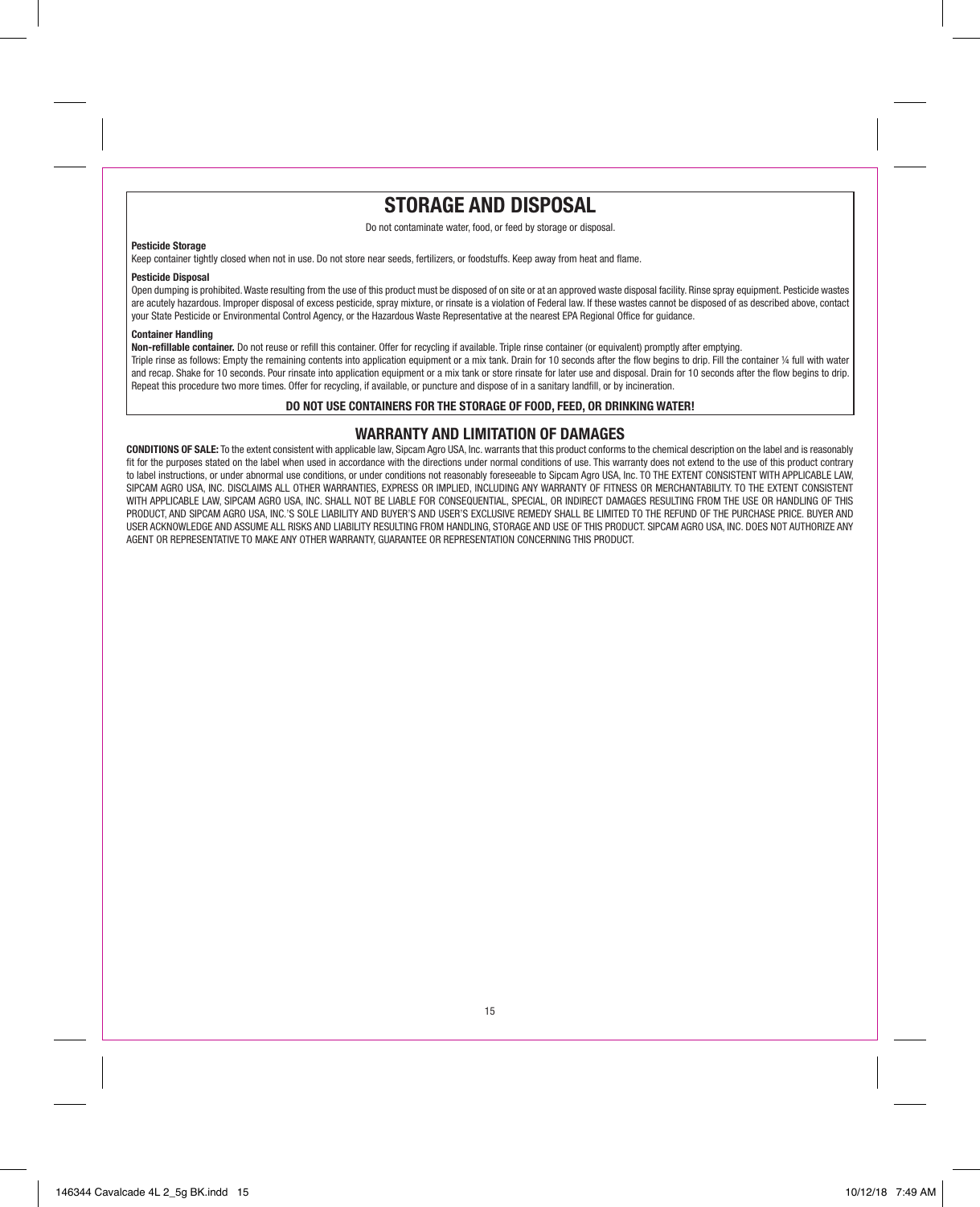# **STORAGE AND DISPOSAL**

Do not contaminate water, food, or feed by storage or disposal.

## **Pesticide Storage**

Keep container tightly closed when not in use. Do not store near seeds, fertilizers, or foodstuffs. Keep away from heat and flame.

## **Pesticide Disposal**

Open dumping is prohibited. Waste resulting from the use of this product must be disposed of on site or at an approved waste disposal facility. Rinse spray equipment. Pesticide wastes are acutely hazardous. Improper disposal of excess pesticide, spray mixture, or rinsate is a violation of Federal law. If these wastes cannot be disposed of as described above, contact your State Pesticide or Environmental Control Agency, or the Hazardous Waste Representative at the nearest EPA Regional Office for guidance.

# **Container Handling**

**Non-refillable container.** Do not reuse or refill this container. Offer for recycling if available. Triple rinse container (or equivalent) promptly after emptying.

Triple rinse as follows: Empty the remaining contents into application equipment or a mix tank. Drain for 10 seconds after the flow begins to drip. Fill the container 1/4 full with water and recap. Shake for 10 seconds, Pour rinsate into application equipment or a mix tank or store rinsate for later use and disposal. Drain for 10 seconds after the flow begins to drip. Repeat this procedure two more times. Offer for recycling, if available, or puncture and dispose of in a sanitary landfill, or by incineration.

# **DO NOT USE CONTAINERS FOR THE STORAGE OF FOOD, FEED, OR DRINKING WATER!**

# **WARRANTY AND LIMITATION OF DAMAGES**

**CONDITIONS OF SALE:** To the extent consistent with applicable law, Sipcam Agro USA, Inc. warrants that this product conforms to the chemical description on the label and is reasonably fit for the purposes stated on the label when used in accordance with the directions under normal conditions of use. This warranty does not extend to the use of this product contrary to label instructions, or under abnormal use conditions, or under conditions not reasonably foreseeable to Sipcam Agro USA, Inc. TO THE EXTENT CONSISTENT WITH APPLICABLE LAW, SIPCAM AGRO USA, INC. DISCLAIMS ALL OTHER WARRANTIES, EXPRESS OR IMPLIED, INCLUDING ANY WARRANTY OF FITNESS OR MERCHANTABILITY. TO THE EXTENT CONSISTENT WITH APPLICABLE LAW, SIPCAM AGRO USA, INC. SHALL NOT BE LIABLE FOR CONSEQUENTIAL, SPECIAL, OR INDIRECT DAMAGES RESULTING FROM THE USE OR HANDLING OF THIS PRODUCT, AND SIPCAM AGRO USA, INC.'S SOLE LIABILITY AND BUYER'S AND USER'S EXCLUSIVE REMEDY SHALL BE LIMITED TO THE REFUND OF THE PURCHASE PRICE. BUYER AND USER ACKNOWLEDGE AND ASSUME ALL RISKS AND LIABILITY RESULTING FROM HANDLING, STORAGE AND USE OF THIS PRODUCT. SIPCAM AGRO USA, INC. DOES NOT AUTHORIZE ANY AGENT OR REPRESENTATIVE TO MAKE ANY OTHER WARRANTY, GUARANTEE OR REPRESENTATION CONCERNING THIS PRODUCT.